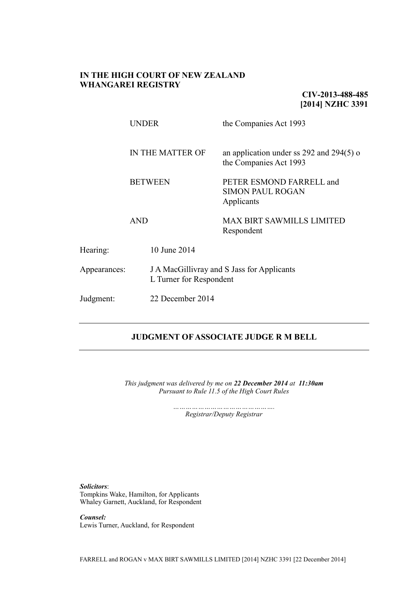### **IN THE HIGH COURT OF NEW ZEALAND WHANGAREI REGISTRY**

**CIV-2013-488-485 [2014] NZHC 3391**

|              | <b>UNDER</b>                                     |                                                                       | the Companies Act 1993                                                    |  |
|--------------|--------------------------------------------------|-----------------------------------------------------------------------|---------------------------------------------------------------------------|--|
|              | IN THE MATTER OF<br><b>BETWEEN</b><br><b>AND</b> |                                                                       | an application under ss 292 and 294(5) $\sigma$<br>the Companies Act 1993 |  |
|              |                                                  |                                                                       | PETER ESMOND FARRELL and<br><b>SIMON PAUL ROGAN</b><br>Applicants         |  |
|              |                                                  |                                                                       | <b>MAX BIRT SAWMILLS LIMITED</b><br>Respondent                            |  |
| Hearing:     |                                                  | 10 June 2014                                                          |                                                                           |  |
| Appearances: |                                                  | J A MacGillivray and S Jass for Applicants<br>L Turner for Respondent |                                                                           |  |
| Judgment:    |                                                  | 22 December 2014                                                      |                                                                           |  |
|              |                                                  |                                                                       |                                                                           |  |

# **JUDGMENT OF ASSOCIATE JUDGE R M BELL**

*This judgment was delivered by me on 22 December 2014 at 11:30am Pursuant to Rule 11.5 of the High Court Rules*

> *…………………………………………. Registrar/Deputy Registrar*

*Solicitors*: Tompkins Wake, Hamilton, for Applicants Whaley Garnett, Auckland, for Respondent

*Counsel:* Lewis Turner, Auckland, for Respondent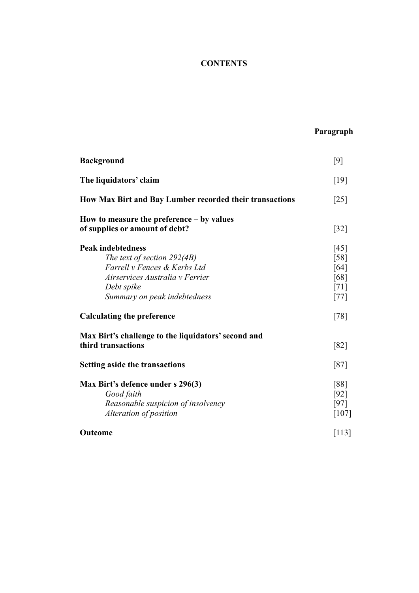# **CONTENTS**

# **Paragraph**

| <b>Background</b>                                                                                                                                                        | $[9]$                                                        |  |  |
|--------------------------------------------------------------------------------------------------------------------------------------------------------------------------|--------------------------------------------------------------|--|--|
| The liquidators' claim                                                                                                                                                   | $[19]$                                                       |  |  |
| How Max Birt and Bay Lumber recorded their transactions                                                                                                                  |                                                              |  |  |
| How to measure the preference $-$ by values<br>of supplies or amount of debt?                                                                                            | $[32]$                                                       |  |  |
| <b>Peak indebtedness</b><br>The text of section 292(4B)<br>Farrell v Fences & Kerbs Ltd<br>Airservices Australia v Ferrier<br>Debt spike<br>Summary on peak indebtedness | [45]<br>$\lceil 58 \rceil$<br>[64]<br>[68]<br>[71]<br>$[77]$ |  |  |
| <b>Calculating the preference</b>                                                                                                                                        | $[78]$                                                       |  |  |
| Max Birt's challenge to the liquidators' second and<br>third transactions                                                                                                | [82]                                                         |  |  |
| <b>Setting aside the transactions</b>                                                                                                                                    |                                                              |  |  |
| Max Birt's defence under s 296(3)<br>Good faith<br>Reasonable suspicion of insolvency<br>Alteration of position                                                          | [88]<br>$[92]$<br>[97]<br>$[107]$                            |  |  |
| Outcome                                                                                                                                                                  | $[113]$                                                      |  |  |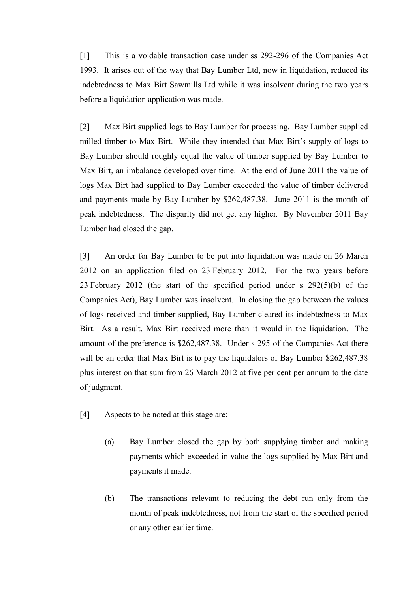[1] This is a voidable transaction case under ss 292-296 of the Companies Act 1993. It arises out of the way that Bay Lumber Ltd, now in liquidation, reduced its indebtedness to Max Birt Sawmills Ltd while it was insolvent during the two years before a liquidation application was made.

[2] Max Birt supplied logs to Bay Lumber for processing. Bay Lumber supplied milled timber to Max Birt. While they intended that Max Birt's supply of logs to Bay Lumber should roughly equal the value of timber supplied by Bay Lumber to Max Birt, an imbalance developed over time. At the end of June 2011 the value of logs Max Birt had supplied to Bay Lumber exceeded the value of timber delivered and payments made by Bay Lumber by \$262,487.38. June 2011 is the month of peak indebtedness. The disparity did not get any higher. By November 2011 Bay Lumber had closed the gap.

[3] An order for Bay Lumber to be put into liquidation was made on 26 March 2012 on an application filed on 23 February 2012. For the two years before 23 February 2012 (the start of the specified period under s 292(5)(b) of the Companies Act), Bay Lumber was insolvent. In closing the gap between the values of logs received and timber supplied, Bay Lumber cleared its indebtedness to Max Birt. As a result, Max Birt received more than it would in the liquidation. The amount of the preference is \$262,487.38. Under s 295 of the Companies Act there will be an order that Max Birt is to pay the liquidators of Bay Lumber \$262,487.38 plus interest on that sum from 26 March 2012 at five per cent per annum to the date of judgment.

- [4] Aspects to be noted at this stage are:
	- (a) Bay Lumber closed the gap by both supplying timber and making payments which exceeded in value the logs supplied by Max Birt and payments it made.
	- (b) The transactions relevant to reducing the debt run only from the month of peak indebtedness, not from the start of the specified period or any other earlier time.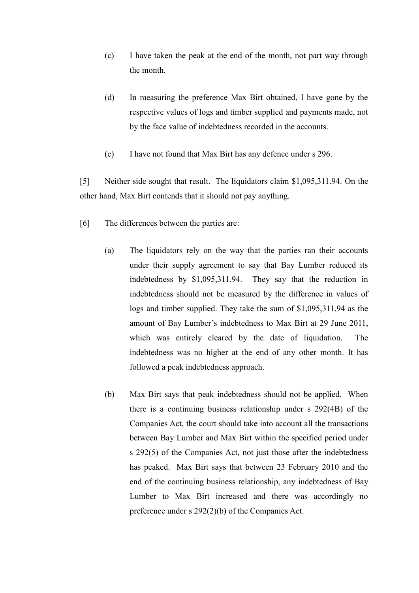- (c) I have taken the peak at the end of the month, not part way through the month.
- (d) In measuring the preference Max Birt obtained, I have gone by the respective values of logs and timber supplied and payments made, not by the face value of indebtedness recorded in the accounts.
- (e) I have not found that Max Birt has any defence under s 296.

[5] Neither side sought that result. The liquidators claim \$1,095,311.94. On the other hand, Max Birt contends that it should not pay anything.

- [6] The differences between the parties are:
	- (a) The liquidators rely on the way that the parties ran their accounts under their supply agreement to say that Bay Lumber reduced its indebtedness by \$1,095,311.94. They say that the reduction in indebtedness should not be measured by the difference in values of logs and timber supplied. They take the sum of \$1,095,311.94 as the amount of Bay Lumber's indebtedness to Max Birt at 29 June 2011, which was entirely cleared by the date of liquidation. The indebtedness was no higher at the end of any other month. It has followed a peak indebtedness approach.
	- (b) Max Birt says that peak indebtedness should not be applied. When there is a continuing business relationship under s 292(4B) of the Companies Act, the court should take into account all the transactions between Bay Lumber and Max Birt within the specified period under s 292(5) of the Companies Act, not just those after the indebtedness has peaked. Max Birt says that between 23 February 2010 and the end of the continuing business relationship, any indebtedness of Bay Lumber to Max Birt increased and there was accordingly no preference under s 292(2)(b) of the Companies Act.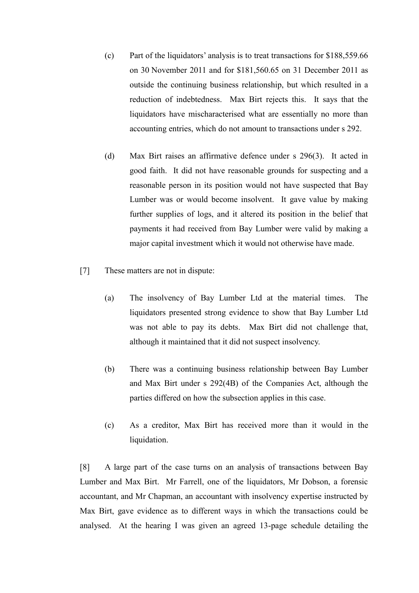- (c) Part of the liquidators' analysis is to treat transactions for \$188,559.66 on 30 November 2011 and for \$181,560.65 on 31 December 2011 as outside the continuing business relationship, but which resulted in a reduction of indebtedness. Max Birt rejects this. It says that the liquidators have mischaracterised what are essentially no more than accounting entries, which do not amount to transactions under s 292.
- (d) Max Birt raises an affirmative defence under s 296(3). It acted in good faith. It did not have reasonable grounds for suspecting and a reasonable person in its position would not have suspected that Bay Lumber was or would become insolvent. It gave value by making further supplies of logs, and it altered its position in the belief that payments it had received from Bay Lumber were valid by making a major capital investment which it would not otherwise have made.
- [7] These matters are not in dispute:
	- (a) The insolvency of Bay Lumber Ltd at the material times. The liquidators presented strong evidence to show that Bay Lumber Ltd was not able to pay its debts. Max Birt did not challenge that, although it maintained that it did not suspect insolvency.
	- (b) There was a continuing business relationship between Bay Lumber and Max Birt under s 292(4B) of the Companies Act, although the parties differed on how the subsection applies in this case.
	- (c) As a creditor, Max Birt has received more than it would in the liquidation.

[8] A large part of the case turns on an analysis of transactions between Bay Lumber and Max Birt. Mr Farrell, one of the liquidators, Mr Dobson, a forensic accountant, and Mr Chapman, an accountant with insolvency expertise instructed by Max Birt, gave evidence as to different ways in which the transactions could be analysed. At the hearing I was given an agreed 13-page schedule detailing the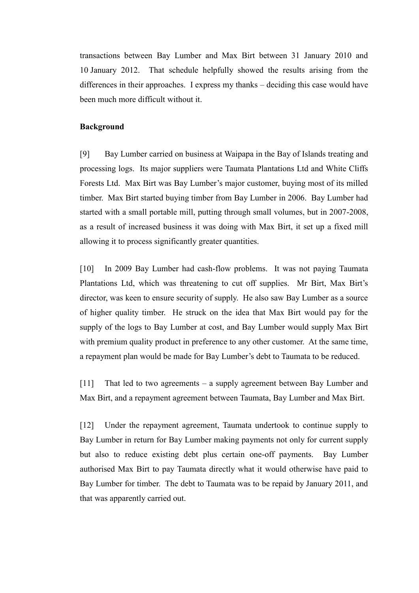transactions between Bay Lumber and Max Birt between 31 January 2010 and 10 January 2012. That schedule helpfully showed the results arising from the differences in their approaches. I express my thanks – deciding this case would have been much more difficult without it.

#### **Background**

[9] Bay Lumber carried on business at Waipapa in the Bay of Islands treating and processing logs. Its major suppliers were Taumata Plantations Ltd and White Cliffs Forests Ltd. Max Birt was Bay Lumber's major customer, buying most of its milled timber. Max Birt started buying timber from Bay Lumber in 2006. Bay Lumber had started with a small portable mill, putting through small volumes, but in 2007-2008, as a result of increased business it was doing with Max Birt, it set up a fixed mill allowing it to process significantly greater quantities.

[10] In 2009 Bay Lumber had cash-flow problems. It was not paying Taumata Plantations Ltd, which was threatening to cut off supplies. Mr Birt, Max Birt's director, was keen to ensure security of supply. He also saw Bay Lumber as a source of higher quality timber. He struck on the idea that Max Birt would pay for the supply of the logs to Bay Lumber at cost, and Bay Lumber would supply Max Birt with premium quality product in preference to any other customer. At the same time, a repayment plan would be made for Bay Lumber's debt to Taumata to be reduced.

[11] That led to two agreements – a supply agreement between Bay Lumber and Max Birt, and a repayment agreement between Taumata, Bay Lumber and Max Birt.

[12] Under the repayment agreement, Taumata undertook to continue supply to Bay Lumber in return for Bay Lumber making payments not only for current supply but also to reduce existing debt plus certain one-off payments. Bay Lumber authorised Max Birt to pay Taumata directly what it would otherwise have paid to Bay Lumber for timber. The debt to Taumata was to be repaid by January 2011, and that was apparently carried out.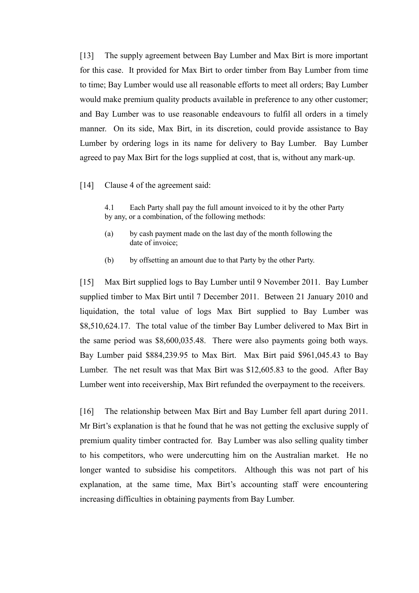[13] The supply agreement between Bay Lumber and Max Birt is more important for this case. It provided for Max Birt to order timber from Bay Lumber from time to time; Bay Lumber would use all reasonable efforts to meet all orders; Bay Lumber would make premium quality products available in preference to any other customer; and Bay Lumber was to use reasonable endeavours to fulfil all orders in a timely manner. On its side, Max Birt, in its discretion, could provide assistance to Bay Lumber by ordering logs in its name for delivery to Bay Lumber. Bay Lumber agreed to pay Max Birt for the logs supplied at cost, that is, without any mark-up.

[14] Clause 4 of the agreement said:

4.1 Each Party shall pay the full amount invoiced to it by the other Party by any, or a combination, of the following methods:

- (a) by cash payment made on the last day of the month following the date of invoice;
- (b) by offsetting an amount due to that Party by the other Party.

[15] Max Birt supplied logs to Bay Lumber until 9 November 2011. Bay Lumber supplied timber to Max Birt until 7 December 2011. Between 21 January 2010 and liquidation, the total value of logs Max Birt supplied to Bay Lumber was \$8,510,624.17. The total value of the timber Bay Lumber delivered to Max Birt in the same period was \$8,600,035.48. There were also payments going both ways. Bay Lumber paid \$884,239.95 to Max Birt. Max Birt paid \$961,045.43 to Bay Lumber. The net result was that Max Birt was \$12,605.83 to the good. After Bay Lumber went into receivership, Max Birt refunded the overpayment to the receivers.

[16] The relationship between Max Birt and Bay Lumber fell apart during 2011. Mr Birt's explanation is that he found that he was not getting the exclusive supply of premium quality timber contracted for. Bay Lumber was also selling quality timber to his competitors, who were undercutting him on the Australian market. He no longer wanted to subsidise his competitors. Although this was not part of his explanation, at the same time, Max Birt's accounting staff were encountering increasing difficulties in obtaining payments from Bay Lumber.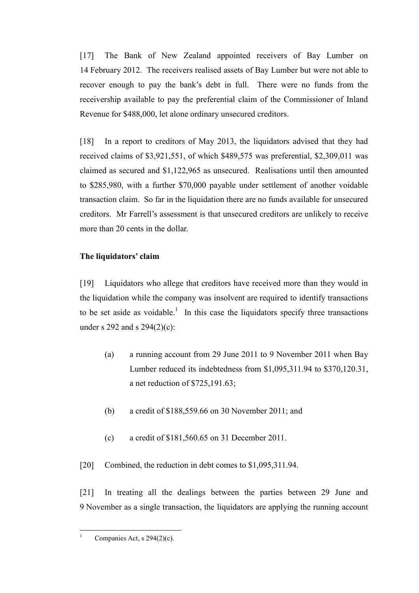[17] The Bank of New Zealand appointed receivers of Bay Lumber on 14 February 2012. The receivers realised assets of Bay Lumber but were not able to recover enough to pay the bank's debt in full. There were no funds from the receivership available to pay the preferential claim of the Commissioner of Inland Revenue for \$488,000, let alone ordinary unsecured creditors.

[18] In a report to creditors of May 2013, the liquidators advised that they had received claims of \$3,921,551, of which \$489,575 was preferential, \$2,309,011 was claimed as secured and \$1,122,965 as unsecured. Realisations until then amounted to \$285,980, with a further \$70,000 payable under settlement of another voidable transaction claim. So far in the liquidation there are no funds available for unsecured creditors. Mr Farrell's assessment is that unsecured creditors are unlikely to receive more than 20 cents in the dollar.

# **The liquidators' claim**

[19] Liquidators who allege that creditors have received more than they would in the liquidation while the company was insolvent are required to identify transactions to be set aside as voidable.<sup>1</sup> In this case the liquidators specify three transactions under s 292 and s 294(2)(c):

- (a) a running account from 29 June 2011 to 9 November 2011 when Bay Lumber reduced its indebtedness from \$1,095,311.94 to \$370,120.31, a net reduction of \$725,191.63;
- (b) a credit of \$188,559.66 on 30 November 2011; and
- (c) a credit of \$181,560.65 on 31 December 2011.

[20] Combined, the reduction in debt comes to \$1,095,311.94.

[21] In treating all the dealings between the parties between 29 June and 9 November as a single transaction, the liquidators are applying the running account

 $\frac{1}{1}$ 

Companies Act, s 294(2)(c).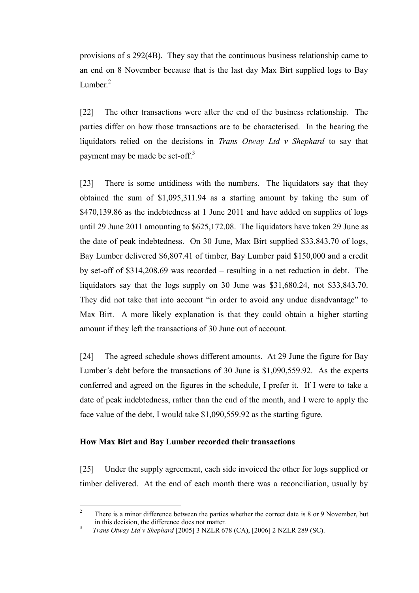provisions of s 292(4B). They say that the continuous business relationship came to an end on 8 November because that is the last day Max Birt supplied logs to Bay Lumber. $2$ 

[22] The other transactions were after the end of the business relationship. The parties differ on how those transactions are to be characterised. In the hearing the liquidators relied on the decisions in *Trans Otway Ltd v Shephard* to say that payment may be made be set-off.<sup>3</sup>

[23] There is some untidiness with the numbers. The liquidators say that they obtained the sum of \$1,095,311.94 as a starting amount by taking the sum of \$470,139.86 as the indebtedness at 1 June 2011 and have added on supplies of logs until 29 June 2011 amounting to \$625,172.08. The liquidators have taken 29 June as the date of peak indebtedness. On 30 June, Max Birt supplied \$33,843.70 of logs, Bay Lumber delivered \$6,807.41 of timber, Bay Lumber paid \$150,000 and a credit by set-off of \$314,208.69 was recorded – resulting in a net reduction in debt. The liquidators say that the logs supply on 30 June was \$31,680.24, not \$33,843.70. They did not take that into account "in order to avoid any undue disadvantage" to Max Birt. A more likely explanation is that they could obtain a higher starting amount if they left the transactions of 30 June out of account.

[24] The agreed schedule shows different amounts. At 29 June the figure for Bay Lumber's debt before the transactions of 30 June is \$1,090,559.92. As the experts conferred and agreed on the figures in the schedule, I prefer it. If I were to take a date of peak indebtedness, rather than the end of the month, and I were to apply the face value of the debt, I would take \$1,090,559.92 as the starting figure.

### **How Max Birt and Bay Lumber recorded their transactions**

[25] Under the supply agreement, each side invoiced the other for logs supplied or timber delivered. At the end of each month there was a reconciliation, usually by

 $\sqrt{2}$ <sup>2</sup> There is a minor difference between the parties whether the correct date is 8 or 9 November, but in this decision, the difference does not matter. 3

*Trans Otway Ltd v Shephard* [2005] 3 NZLR 678 (CA), [2006] 2 NZLR 289 (SC).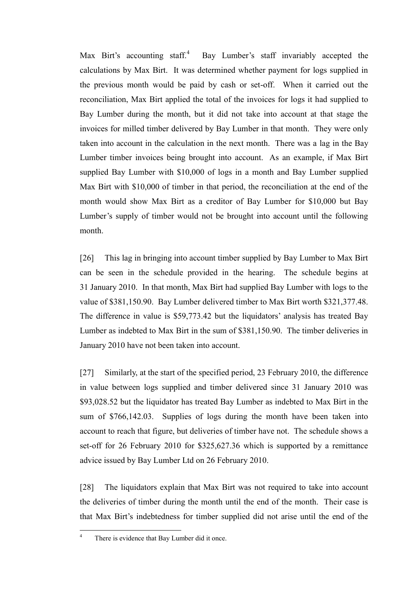Max Birt's accounting staff. $4$  Bay Lumber's staff invariably accepted the calculations by Max Birt. It was determined whether payment for logs supplied in the previous month would be paid by cash or set-off. When it carried out the reconciliation, Max Birt applied the total of the invoices for logs it had supplied to Bay Lumber during the month, but it did not take into account at that stage the invoices for milled timber delivered by Bay Lumber in that month. They were only taken into account in the calculation in the next month. There was a lag in the Bay Lumber timber invoices being brought into account. As an example, if Max Birt supplied Bay Lumber with \$10,000 of logs in a month and Bay Lumber supplied Max Birt with \$10,000 of timber in that period, the reconciliation at the end of the month would show Max Birt as a creditor of Bay Lumber for \$10,000 but Bay Lumber's supply of timber would not be brought into account until the following month.

[26] This lag in bringing into account timber supplied by Bay Lumber to Max Birt can be seen in the schedule provided in the hearing. The schedule begins at 31 January 2010. In that month, Max Birt had supplied Bay Lumber with logs to the value of \$381,150.90. Bay Lumber delivered timber to Max Birt worth \$321,377.48. The difference in value is \$59,773.42 but the liquidators' analysis has treated Bay Lumber as indebted to Max Birt in the sum of \$381,150.90. The timber deliveries in January 2010 have not been taken into account.

[27] Similarly, at the start of the specified period, 23 February 2010, the difference in value between logs supplied and timber delivered since 31 January 2010 was \$93,028.52 but the liquidator has treated Bay Lumber as indebted to Max Birt in the sum of \$766,142.03. Supplies of logs during the month have been taken into account to reach that figure, but deliveries of timber have not. The schedule shows a set-off for 26 February 2010 for \$325,627.36 which is supported by a remittance advice issued by Bay Lumber Ltd on 26 February 2010.

[28] The liquidators explain that Max Birt was not required to take into account the deliveries of timber during the month until the end of the month. Their case is that Max Birt's indebtedness for timber supplied did not arise until the end of the

 $\overline{4}$ There is evidence that Bay Lumber did it once.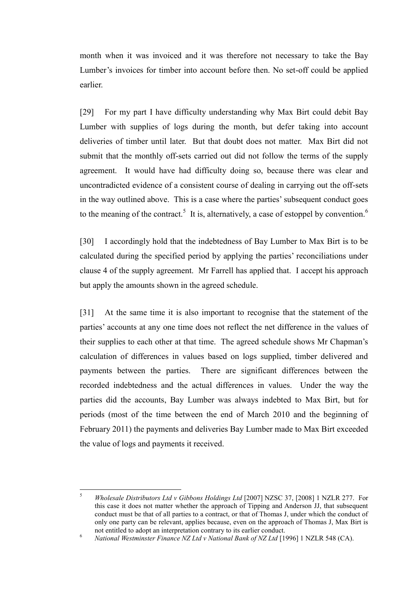month when it was invoiced and it was therefore not necessary to take the Bay Lumber's invoices for timber into account before then. No set-off could be applied earlier.

[29] For my part I have difficulty understanding why Max Birt could debit Bay Lumber with supplies of logs during the month, but defer taking into account deliveries of timber until later. But that doubt does not matter. Max Birt did not submit that the monthly off-sets carried out did not follow the terms of the supply agreement. It would have had difficulty doing so, because there was clear and uncontradicted evidence of a consistent course of dealing in carrying out the off-sets in the way outlined above. This is a case where the parties' subsequent conduct goes to the meaning of the contract.<sup>5</sup> It is, alternatively, a case of estoppel by convention.<sup>6</sup>

[30] I accordingly hold that the indebtedness of Bay Lumber to Max Birt is to be calculated during the specified period by applying the parties' reconciliations under clause 4 of the supply agreement. Mr Farrell has applied that. I accept his approach but apply the amounts shown in the agreed schedule.

[31] At the same time it is also important to recognise that the statement of the parties' accounts at any one time does not reflect the net difference in the values of their supplies to each other at that time. The agreed schedule shows Mr Chapman's calculation of differences in values based on logs supplied, timber delivered and payments between the parties. There are significant differences between the recorded indebtedness and the actual differences in values. Under the way the parties did the accounts, Bay Lumber was always indebted to Max Birt, but for periods (most of the time between the end of March 2010 and the beginning of February 2011) the payments and deliveries Bay Lumber made to Max Birt exceeded the value of logs and payments it received.

 $\varsigma$ <sup>5</sup> *Wholesale Distributors Ltd v Gibbons Holdings Ltd* [2007] NZSC 37, [2008] 1 NZLR 277. For this case it does not matter whether the approach of Tipping and Anderson JJ, that subsequent conduct must be that of all parties to a contract, or that of Thomas J, under which the conduct of only one party can be relevant, applies because, even on the approach of Thomas J, Max Birt is not entitled to adopt an interpretation contrary to its earlier conduct.

<sup>6</sup> *National Westminster Finance NZ Ltd v National Bank of NZ Ltd* [1996] 1 NZLR 548 (CA).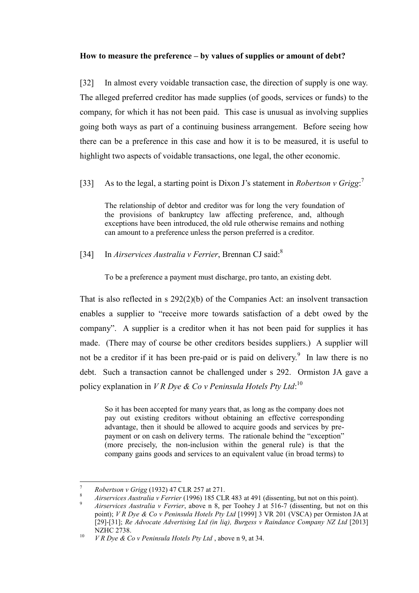### **How to measure the preference – by values of supplies or amount of debt?**

[32] In almost every voidable transaction case, the direction of supply is one way. The alleged preferred creditor has made supplies (of goods, services or funds) to the company, for which it has not been paid. This case is unusual as involving supplies going both ways as part of a continuing business arrangement. Before seeing how there can be a preference in this case and how it is to be measured, it is useful to highlight two aspects of voidable transactions, one legal, the other economic.

[33] As to the legal, a starting point is Dixon J's statement in *Robertson v Grigg*:<sup>7</sup>

The relationship of debtor and creditor was for long the very foundation of the provisions of bankruptcy law affecting preference, and, although exceptions have been introduced, the old rule otherwise remains and nothing can amount to a preference unless the person preferred is a creditor.

### [34] In *Airservices Australia v Ferrier*, Brennan CJ said:<sup>8</sup>

To be a preference a payment must discharge, pro tanto, an existing debt.

That is also reflected in s 292(2)(b) of the Companies Act: an insolvent transaction enables a supplier to "receive more towards satisfaction of a debt owed by the company". A supplier is a creditor when it has not been paid for supplies it has made. (There may of course be other creditors besides suppliers.) A supplier will not be a creditor if it has been pre-paid or is paid on delivery.<sup>9</sup> In law there is no debt. Such a transaction cannot be challenged under s 292. Ormiston JA gave a policy explanation in *V R Dye & Co v Peninsula Hotels Pty Ltd*: 10

So it has been accepted for many years that, as long as the company does not pay out existing creditors without obtaining an effective corresponding advantage, then it should be allowed to acquire goods and services by prepayment or on cash on delivery terms. The rationale behind the "exception" (more precisely, the non-inclusion within the general rule) is that the company gains goods and services to an equivalent value (in broad terms) to

 $\overline{a}$ <sup>7</sup> *Robertson v Grigg* (1932) 47 CLR 257 at 271.

<sup>8</sup> *Airservices Australia v Ferrier* (1996) 185 CLR 483 at 491 (dissenting, but not on this point).

<sup>9</sup> *Airservices Australia v Ferrier*, above n 8, per Toohey J at 516-7 (dissenting, but not on this point); *V R Dye & Co v Peninsula Hotels Pty Ltd* [1999] 3 VR 201 (VSCA) per Ormiston JA at [29]-[31]; *Re Advocate Advertising Ltd (in liq), Burgess v Raindance Company NZ Ltd* [2013] NZHC 2738.

<sup>10</sup> *V R Dye & Co v Peninsula Hotels Pty Ltd* , above n 9, at 34.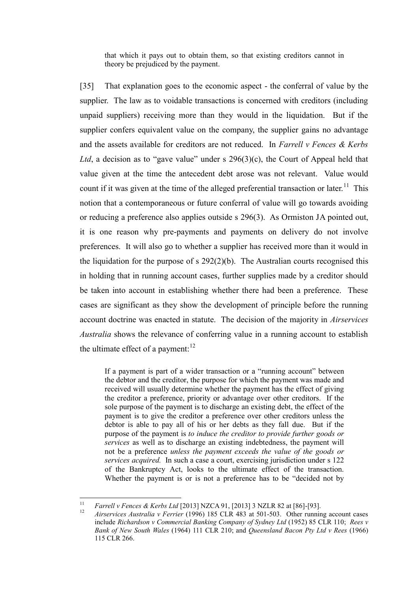that which it pays out to obtain them, so that existing creditors cannot in theory be prejudiced by the payment.

[35] That explanation goes to the economic aspect - the conferral of value by the supplier. The law as to voidable transactions is concerned with creditors (including unpaid suppliers) receiving more than they would in the liquidation. But if the supplier confers equivalent value on the company, the supplier gains no advantage and the assets available for creditors are not reduced. In *Farrell v Fences & Kerbs Ltd*, a decision as to "gave value" under s  $296(3)(c)$ , the Court of Appeal held that value given at the time the antecedent debt arose was not relevant. Value would count if it was given at the time of the alleged preferential transaction or later.<sup>11</sup> This notion that a contemporaneous or future conferral of value will go towards avoiding or reducing a preference also applies outside s 296(3). As Ormiston JA pointed out, it is one reason why pre-payments and payments on delivery do not involve preferences. It will also go to whether a supplier has received more than it would in the liquidation for the purpose of s 292(2)(b). The Australian courts recognised this in holding that in running account cases, further supplies made by a creditor should be taken into account in establishing whether there had been a preference. These cases are significant as they show the development of principle before the running account doctrine was enacted in statute. The decision of the majority in *Airservices Australia* shows the relevance of conferring value in a running account to establish the ultimate effect of a payment: $12$ 

If a payment is part of a wider transaction or a "running account" between the debtor and the creditor, the purpose for which the payment was made and received will usually determine whether the payment has the effect of giving the creditor a preference, priority or advantage over other creditors. If the sole purpose of the payment is to discharge an existing debt, the effect of the payment is to give the creditor a preference over other creditors unless the debtor is able to pay all of his or her debts as they fall due. But if the purpose of the payment is *to induce the creditor to provide further goods or services* as well as to discharge an existing indebtedness, the payment will not be a preference *unless the payment exceeds the value of the goods or services acquired.* In such a case a court, exercising jurisdiction under s 122 of the Bankruptcy Act, looks to the ultimate effect of the transaction. Whether the payment is or is not a preference has to be "decided not by

 $11$ <sup>11</sup> *Farrell v Fences & Kerbs Ltd* [2013] NZCA 91, [2013] 3 NZLR 82 at [86]-[93].

<sup>12</sup> *Airservices Australia v Ferrier* (1996) 185 CLR 483 at 501-503. Other running account cases include *Richardson v Commercial Banking Company of Sydney Ltd* (1952) 85 CLR 110; *Rees v Bank of New South Wales* (1964) 111 CLR 210; and *Queensland Bacon Pty Ltd v Rees* (1966) 115 CLR 266.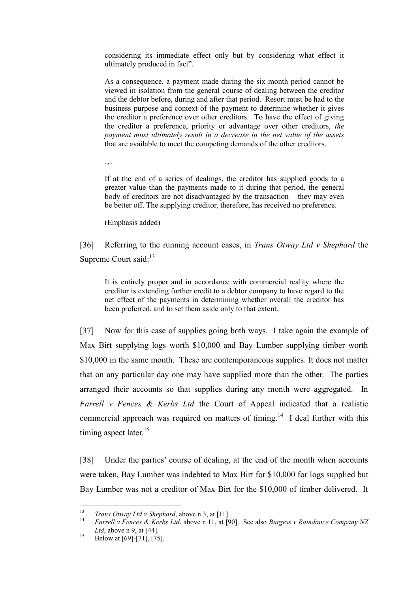considering its immediate effect only but by considering what effect it ultimately produced in fact".

As a consequence, a payment made during the six month period cannot be viewed in isolation from the general course of dealing between the creditor and the debtor before, during and after that period. Resort must be had to the business purpose and context of the payment to determine whether it gives the creditor a preference over other creditors. To have the effect of giving the creditor a preference, priority or advantage over other creditors, *the payment must ultimately result in a decrease in the net value of the assets* that are available to meet the competing demands of the other creditors.

…

If at the end of a series of dealings, the creditor has supplied goods to a greater value than the payments made to it during that period, the general body of creditors are not disadvantaged by the transaction – they may even be better off. The supplying creditor, therefore, has received no preference.

(Emphasis added)

[36] Referring to the running account cases, in *Trans Otway Ltd v Shephard* the Supreme Court said:<sup>13</sup>

It is entirely proper and in accordance with commercial reality where the creditor is extending further credit to a debtor company to have regard to the net effect of the payments in determining whether overall the creditor has been preferred, and to set them aside only to that extent.

[37] Now for this case of supplies going both ways. I take again the example of Max Birt supplying logs worth \$10,000 and Bay Lumber supplying timber worth \$10,000 in the same month. These are contemporaneous supplies. It does not matter that on any particular day one may have supplied more than the other. The parties arranged their accounts so that supplies during any month were aggregated. In *Farrell v Fences & Kerbs Ltd* the Court of Appeal indicated that a realistic commercial approach was required on matters of timing.<sup>14</sup> I deal further with this timing aspect later.<sup>15</sup>

[38] Under the parties' course of dealing, at the end of the month when accounts were taken, Bay Lumber was indebted to Max Birt for \$10,000 for logs supplied but Bay Lumber was not a creditor of Max Birt for the \$10,000 of timber delivered. It

 $13$ <sup>13</sup> *Trans Otway Ltd v Shephard*, above n 3, at [11].

<sup>14</sup> *Farrell v Fences & Kerbs Ltd*, above n 11, at [90]. See also *Burgess v Raindance Company NZ Ltd*, above n 9, at [44].

 $15$  Below at [69]-[71], [75].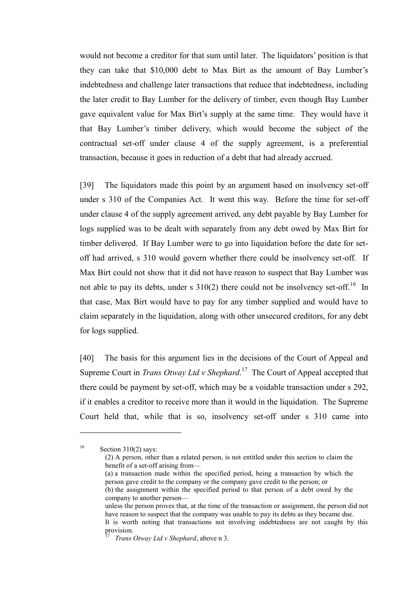would not become a creditor for that sum until later. The liquidators' position is that they can take that \$10,000 debt to Max Birt as the amount of Bay Lumber's indebtedness and challenge later transactions that reduce that indebtedness, including the later credit to Bay Lumber for the delivery of timber, even though Bay Lumber gave equivalent value for Max Birt's supply at the same time. They would have it that Bay Lumber's timber delivery, which would become the subject of the contractual set-off under clause 4 of the supply agreement, is a preferential transaction, because it goes in reduction of a debt that had already accrued.

[39] The liquidators made this point by an argument based on insolvency set-off under s 310 of the Companies Act. It went this way. Before the time for set-off under clause 4 of the supply agreement arrived, any debt payable by Bay Lumber for logs supplied was to be dealt with separately from any debt owed by Max Birt for timber delivered. If Bay Lumber were to go into liquidation before the date for setoff had arrived, s 310 would govern whether there could be insolvency set-off. If Max Birt could not show that it did not have reason to suspect that Bay Lumber was not able to pay its debts, under s  $310(2)$  there could not be insolvency set-off.<sup>16</sup> In that case, Max Birt would have to pay for any timber supplied and would have to claim separately in the liquidation, along with other unsecured creditors, for any debt for logs supplied.

[40] The basis for this argument lies in the decisions of the Court of Appeal and Supreme Court in *Trans Otway Ltd v Shephard*. 17 The Court of Appeal accepted that there could be payment by set-off, which may be a voidable transaction under s 292, if it enables a creditor to receive more than it would in the liquidation. The Supreme Court held that, while that is so, insolvency set-off under s 310 came into

16 Section 310(2) says:

 $\overline{a}$ 

(2) A person, other than a related person, is not entitled under this section to claim the benefit of a set-off arising from—

<sup>(</sup>a) a transaction made within the specified period, being a transaction by which the person gave credit to the company or the company gave credit to the person; or

<sup>(</sup>b) the assignment within the specified period to that person of a debt owed by the company to another person—

unless the person proves that, at the time of the transaction or assignment, the person did not have reason to suspect that the company was unable to pay its debts as they became due. It is worth noting that transactions not involving indebtedness are not caught by this provision.

*Trans Otway Ltd v Shephard*, above n 3.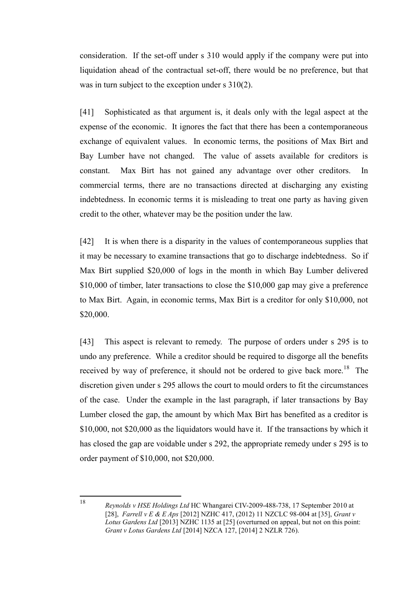consideration. If the set-off under s 310 would apply if the company were put into liquidation ahead of the contractual set-off, there would be no preference, but that was in turn subject to the exception under s  $310(2)$ .

[41] Sophisticated as that argument is, it deals only with the legal aspect at the expense of the economic. It ignores the fact that there has been a contemporaneous exchange of equivalent values. In economic terms, the positions of Max Birt and Bay Lumber have not changed. The value of assets available for creditors is constant. Max Birt has not gained any advantage over other creditors. In commercial terms, there are no transactions directed at discharging any existing indebtedness. In economic terms it is misleading to treat one party as having given credit to the other, whatever may be the position under the law.

[42] It is when there is a disparity in the values of contemporaneous supplies that it may be necessary to examine transactions that go to discharge indebtedness. So if Max Birt supplied \$20,000 of logs in the month in which Bay Lumber delivered \$10,000 of timber, later transactions to close the \$10,000 gap may give a preference to Max Birt. Again, in economic terms, Max Birt is a creditor for only \$10,000, not \$20,000.

[43] This aspect is relevant to remedy. The purpose of orders under s 295 is to undo any preference. While a creditor should be required to disgorge all the benefits received by way of preference, it should not be ordered to give back more.<sup>18</sup> The discretion given under s 295 allows the court to mould orders to fit the circumstances of the case. Under the example in the last paragraph, if later transactions by Bay Lumber closed the gap, the amount by which Max Birt has benefited as a creditor is \$10,000, not \$20,000 as the liquidators would have it. If the transactions by which it has closed the gap are voidable under s 292, the appropriate remedy under s 295 is to order payment of \$10,000, not \$20,000.

18

*Reynolds v HSE Holdings Ltd* HC Whangarei CIV-2009-488-738, 17 September 2010 at [28], *Farrell v E & E Aps* [2012] NZHC 417, (2012) 11 NZCLC 98-004 at [35], *Grant v Lotus Gardens Ltd* [2013] NZHC 1135 at [25] (overturned on appeal, but not on this point: *Grant v Lotus Gardens Ltd* [2014] NZCA 127, [2014] 2 NZLR 726).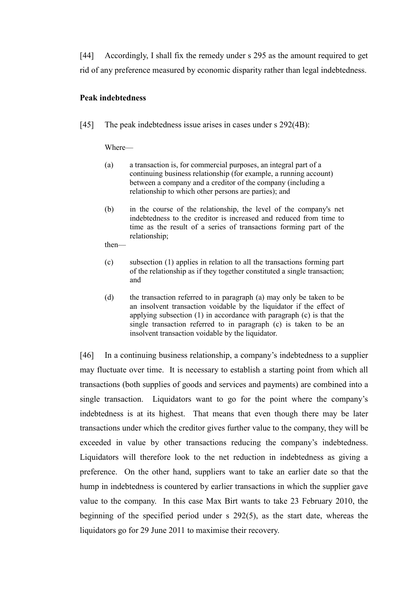[44] Accordingly, I shall fix the remedy under s 295 as the amount required to get rid of any preference measured by economic disparity rather than legal indebtedness.

### **Peak indebtedness**

[45] The peak indebtedness issue arises in cases under s 292(4B):

Where—

- (a) a transaction is, for commercial purposes, an integral part of a continuing business relationship (for example, a running account) between a company and a creditor of the company (including a relationship to which other persons are parties); and
- (b) in the course of the relationship, the level of the company's net indebtedness to the creditor is increased and reduced from time to time as the result of a series of transactions forming part of the relationship;

then—

- (c) subsection (1) applies in relation to all the transactions forming part of the relationship as if they together constituted a single transaction; and
- (d) the transaction referred to in paragraph (a) may only be taken to be an insolvent transaction voidable by the liquidator if the effect of applying subsection (1) in accordance with paragraph (c) is that the single transaction referred to in paragraph (c) is taken to be an insolvent transaction voidable by the liquidator.

[46] In a continuing business relationship, a company's indebtedness to a supplier may fluctuate over time. It is necessary to establish a starting point from which all transactions (both supplies of goods and services and payments) are combined into a single transaction. Liquidators want to go for the point where the company's indebtedness is at its highest. That means that even though there may be later transactions under which the creditor gives further value to the company, they will be exceeded in value by other transactions reducing the company's indebtedness. Liquidators will therefore look to the net reduction in indebtedness as giving a preference. On the other hand, suppliers want to take an earlier date so that the hump in indebtedness is countered by earlier transactions in which the supplier gave value to the company. In this case Max Birt wants to take 23 February 2010, the beginning of the specified period under s 292(5), as the start date, whereas the liquidators go for 29 June 2011 to maximise their recovery.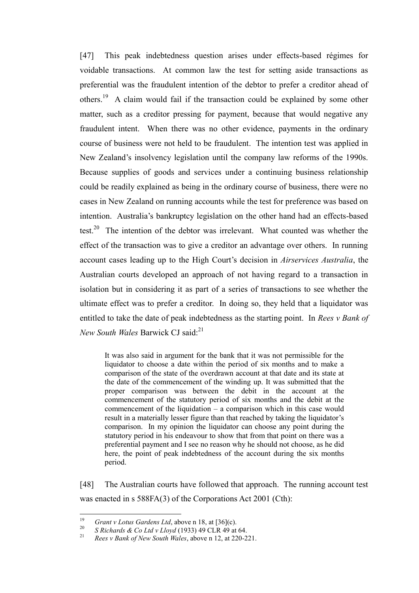[47] This peak indebtedness question arises under effects-based régimes for voidable transactions. At common law the test for setting aside transactions as preferential was the fraudulent intention of the debtor to prefer a creditor ahead of others.<sup>19</sup> A claim would fail if the transaction could be explained by some other matter, such as a creditor pressing for payment, because that would negative any fraudulent intent. When there was no other evidence, payments in the ordinary course of business were not held to be fraudulent. The intention test was applied in New Zealand's insolvency legislation until the company law reforms of the 1990s. Because supplies of goods and services under a continuing business relationship could be readily explained as being in the ordinary course of business, there were no cases in New Zealand on running accounts while the test for preference was based on intention. Australia's bankruptcy legislation on the other hand had an effects-based test.<sup>20</sup> The intention of the debtor was irrelevant. What counted was whether the effect of the transaction was to give a creditor an advantage over others. In running account cases leading up to the High Court's decision in *Airservices Australia*, the Australian courts developed an approach of not having regard to a transaction in isolation but in considering it as part of a series of transactions to see whether the ultimate effect was to prefer a creditor. In doing so, they held that a liquidator was entitled to take the date of peak indebtedness as the starting point. In *Rees v Bank of New South Wales* Barwick CJ said:<sup>21</sup>

It was also said in argument for the bank that it was not permissible for the liquidator to choose a date within the period of six months and to make a comparison of the state of the overdrawn account at that date and its state at the date of the commencement of the winding up. It was submitted that the proper comparison was between the debit in the account at the commencement of the statutory period of six months and the debit at the commencement of the liquidation – a comparison which in this case would result in a materially lesser figure than that reached by taking the liquidator's comparison. In my opinion the liquidator can choose any point during the statutory period in his endeavour to show that from that point on there was a preferential payment and I see no reason why he should not choose, as he did here, the point of peak indebtedness of the account during the six months period.

[48] The Australian courts have followed that approach. The running account test was enacted in s 588FA(3) of the Corporations Act 2001 (Cth):

<sup>19</sup> <sup>19</sup> *Grant v Lotus Gardens Ltd*, above n 18, at [36](c).<br><sup>20</sup> *S Disk webs 8 Gs Ltd v Llnud* (1922) 49 GJ B 49 st

<sup>&</sup>lt;sup>20</sup> *S Richards & Co Ltd v Lloyd* (1933) 49 CLR 49 at 64.

<sup>21</sup> *Rees v Bank of New South Wales*, above n 12, at 220-221.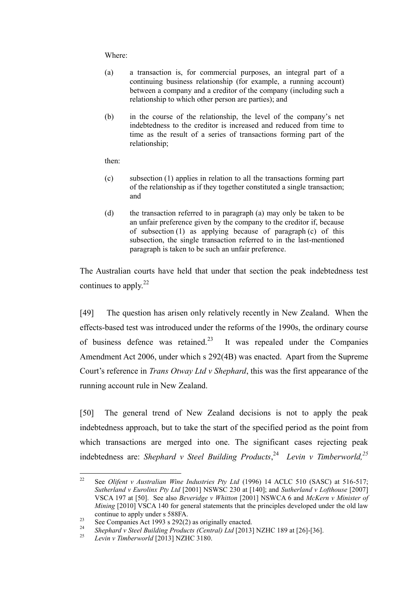Where:

- (a) a transaction is, for commercial purposes, an integral part of a continuing business relationship (for example, a running account) between a company and a creditor of the company (including such a relationship to which other person are parties); and
- (b) in the course of the relationship, the level of the company's net indebtedness to the creditor is increased and reduced from time to time as the result of a series of transactions forming part of the relationship;

then:

- (c) subsection (1) applies in relation to all the transactions forming part of the relationship as if they together constituted a single transaction; and
- (d) the transaction referred to in paragraph (a) may only be taken to be an unfair preference given by the company to the creditor if, because of subsection (1) as applying because of paragraph (c) of this subsection, the single transaction referred to in the last-mentioned paragraph is taken to be such an unfair preference.

The Australian courts have held that under that section the peak indebtedness test continues to apply. $^{22}$ 

[49] The question has arisen only relatively recently in New Zealand. When the effects-based test was introduced under the reforms of the 1990s, the ordinary course of business defence was retained. $^{23}$  It was repealed under the Companies Amendment Act 2006, under which s 292(4B) was enacted. Apart from the Supreme Court's reference in *Trans Otway Ltd v Shephard*, this was the first appearance of the running account rule in New Zealand.

[50] The general trend of New Zealand decisions is not to apply the peak indebtedness approach, but to take the start of the specified period as the point from which transactions are merged into one. The significant cases rejecting peak indebtedness are: *Shephard v Steel Building Products*, 24 *Levin v Timberworld,<sup>25</sup>*

 $22$ <sup>22</sup> See *Olifent v Australian Wine Industries Pty Ltd* (1996) 14 ACLC 510 (SASC) at 516-517; *Sutherland v Eurolinx Pty Ltd* [2001] NSWSC 230 at [140]; and *Sutherland v Lofthouse* [2007] VSCA 197 at [50]. See also *Beveridge v Whitton* [2001] NSWCA 6 and *McKern v Minister of Mining* [2010] VSCA 140 for general statements that the principles developed under the old law continue to apply under s 588FA.

<sup>23</sup> See Companies Act 1993 s 292(2) as originally enacted.<br>
24 St. relevant of the Land in the Contral Land 190121

<sup>24</sup> *Shephard v Steel Building Products (Central) Ltd* [2013] NZHC 189 at [26]-[36].

<sup>25</sup> *Levin v Timberworld* [2013] NZHC 3180.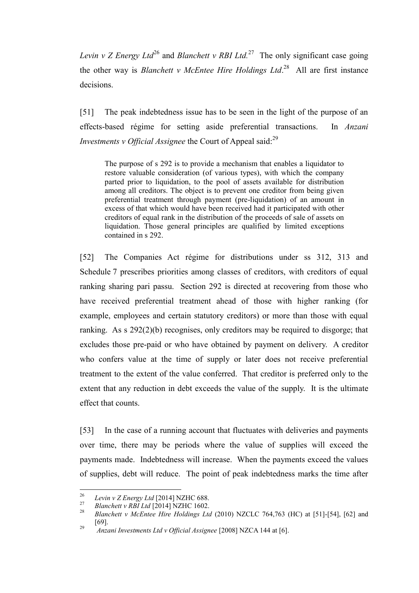*Levin v Z Energy Ltd*<sup>26</sup> and *Blanchett v RBI Ltd*.<sup>27</sup> The only significant case going the other way is *Blanchett v McEntee Hire Holdings Ltd*. 28 All are first instance decisions.

[51] The peak indebtedness issue has to be seen in the light of the purpose of an effects-based régime for setting aside preferential transactions. In *Anzani Investments v Official Assignee* the Court of Appeal said:<sup>29</sup>

The purpose of s 292 is to provide a mechanism that enables a liquidator to restore valuable consideration (of various types), with which the company parted prior to liquidation, to the pool of assets available for distribution among all creditors. The object is to prevent one creditor from being given preferential treatment through payment (pre-liquidation) of an amount in excess of that which would have been received had it participated with other creditors of equal rank in the distribution of the proceeds of sale of assets on liquidation. Those general principles are qualified by limited exceptions contained in s 292.

[52] The Companies Act régime for distributions under ss 312, 313 and Schedule 7 prescribes priorities among classes of creditors, with creditors of equal ranking sharing pari passu. Section 292 is directed at recovering from those who have received preferential treatment ahead of those with higher ranking (for example, employees and certain statutory creditors) or more than those with equal ranking. As s 292(2)(b) recognises, only creditors may be required to disgorge; that excludes those pre-paid or who have obtained by payment on delivery. A creditor who confers value at the time of supply or later does not receive preferential treatment to the extent of the value conferred. That creditor is preferred only to the extent that any reduction in debt exceeds the value of the supply. It is the ultimate effect that counts.

[53] In the case of a running account that fluctuates with deliveries and payments over time, there may be periods where the value of supplies will exceed the payments made. Indebtedness will increase. When the payments exceed the values of supplies, debt will reduce. The point of peak indebtedness marks the time after

<sup>26</sup> <sup>26</sup> *Levin v Z Energy Ltd* [2014] NZHC 688.

<sup>&</sup>lt;sup>27</sup> *Blanchett v RBI Ltd* [2014] NZHC 1602.

<sup>28</sup> *Blanchett v McEntee Hire Holdings Ltd* (2010) NZCLC 764,763 (HC) at [51]-[54], [62] and [69]. 29

*[Anzani Investments Ltd v Official Assignee](http://www.brookersonline.co.nz/databases/modus/caselaw/bcase/link?id=CASE%7eNZ%7eNAT%7eHC%7e2007%7e51340&si=57359&sid=j3w0q7r7mukpjjo6ushlpmx7tegurmjq&hli=0&sp=bcase)* [2008] NZCA 144 at [6].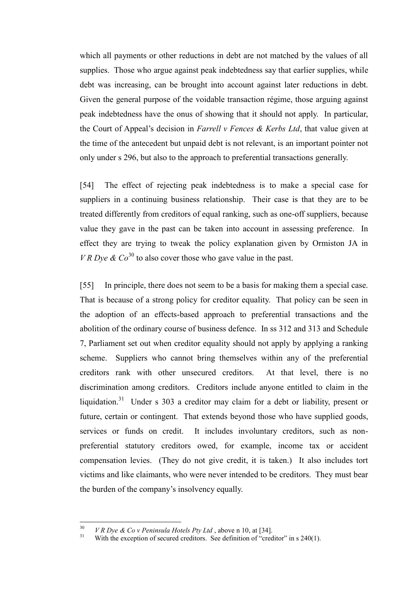which all payments or other reductions in debt are not matched by the values of all supplies. Those who argue against peak indebtedness say that earlier supplies, while debt was increasing, can be brought into account against later reductions in debt. Given the general purpose of the voidable transaction régime, those arguing against peak indebtedness have the onus of showing that it should not apply. In particular, the Court of Appeal's decision in *Farrell v Fences & Kerbs Ltd*, that value given at the time of the antecedent but unpaid debt is not relevant, is an important pointer not only under s 296, but also to the approach to preferential transactions generally.

[54] The effect of rejecting peak indebtedness is to make a special case for suppliers in a continuing business relationship. Their case is that they are to be treated differently from creditors of equal ranking, such as one-off suppliers, because value they gave in the past can be taken into account in assessing preference. In effect they are trying to tweak the policy explanation given by Ormiston JA in *VR Dye & Co*<sup>30</sup> to also cover those who gave value in the past.

[55] In principle, there does not seem to be a basis for making them a special case. That is because of a strong policy for creditor equality. That policy can be seen in the adoption of an effects-based approach to preferential transactions and the abolition of the ordinary course of business defence. In ss 312 and 313 and Schedule 7, Parliament set out when creditor equality should not apply by applying a ranking scheme. Suppliers who cannot bring themselves within any of the preferential creditors rank with other unsecured creditors. At that level, there is no discrimination among creditors. Creditors include anyone entitled to claim in the liquidation.<sup>31</sup> Under s 303 a creditor may claim for a debt or liability, present or future, certain or contingent. That extends beyond those who have supplied goods, services or funds on credit. It includes involuntary creditors, such as nonpreferential statutory creditors owed, for example, income tax or accident compensation levies. (They do not give credit, it is taken.) It also includes tort victims and like claimants, who were never intended to be creditors. They must bear the burden of the company's insolvency equally.

 $30$ <sup>30</sup> *V R Dye & Co v Peninsula Hotels Pty Ltd*, above n 10, at [34].

With the exception of secured creditors. See definition of "creditor" in  $s$  240(1).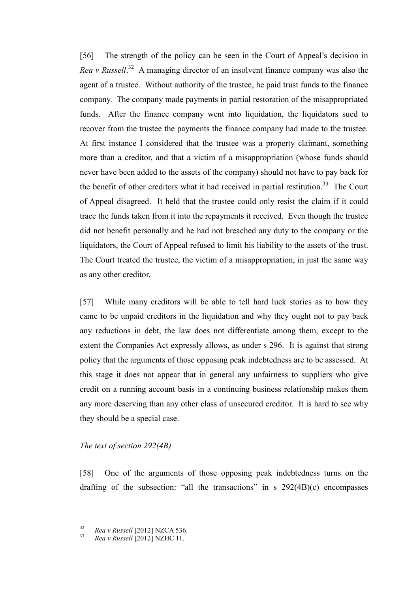[56] The strength of the policy can be seen in the Court of Appeal's decision in *Rea v Russell*. 32 A managing director of an insolvent finance company was also the agent of a trustee. Without authority of the trustee, he paid trust funds to the finance company. The company made payments in partial restoration of the misappropriated funds. After the finance company went into liquidation, the liquidators sued to recover from the trustee the payments the finance company had made to the trustee. At first instance I considered that the trustee was a property claimant, something more than a creditor, and that a victim of a misappropriation (whose funds should never have been added to the assets of the company) should not have to pay back for the benefit of other creditors what it had received in partial restitution.<sup>33</sup> The Court of Appeal disagreed. It held that the trustee could only resist the claim if it could trace the funds taken from it into the repayments it received. Even though the trustee did not benefit personally and he had not breached any duty to the company or the liquidators, the Court of Appeal refused to limit his liability to the assets of the trust. The Court treated the trustee, the victim of a misappropriation, in just the same way as any other creditor.

[57] While many creditors will be able to tell hard luck stories as to how they came to be unpaid creditors in the liquidation and why they ought not to pay back any reductions in debt, the law does not differentiate among them, except to the extent the Companies Act expressly allows, as under s 296. It is against that strong policy that the arguments of those opposing peak indebtedness are to be assessed. At this stage it does not appear that in general any unfairness to suppliers who give credit on a running account basis in a continuing business relationship makes them any more deserving than any other class of unsecured creditor. It is hard to see why they should be a special case.

### *The text of section 292(4B)*

[58] One of the arguments of those opposing peak indebtedness turns on the drafting of the subsection: "all the transactions" in s 292(4B)(c) encompasses

 $32$ <sup>32</sup> *Rea v Russell* [2012] NZCA 536.

<sup>33</sup> *Rea v Russell* [2012] NZHC 11.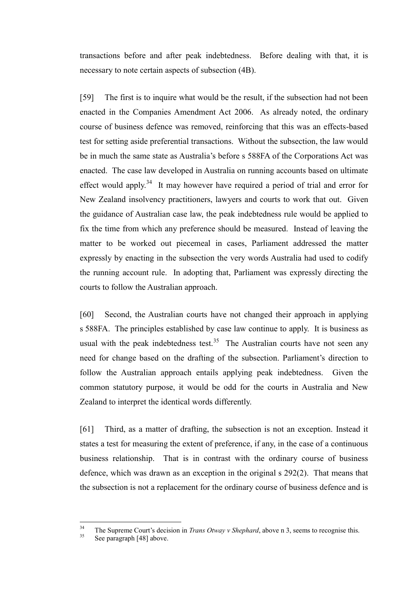transactions before and after peak indebtedness. Before dealing with that, it is necessary to note certain aspects of subsection (4B).

[59] The first is to inquire what would be the result, if the subsection had not been enacted in the Companies Amendment Act 2006. As already noted, the ordinary course of business defence was removed, reinforcing that this was an effects-based test for setting aside preferential transactions. Without the subsection, the law would be in much the same state as Australia's before s 588FA of the Corporations Act was enacted. The case law developed in Australia on running accounts based on ultimate effect would apply.<sup>34</sup> It may however have required a period of trial and error for New Zealand insolvency practitioners, lawyers and courts to work that out. Given the guidance of Australian case law, the peak indebtedness rule would be applied to fix the time from which any preference should be measured. Instead of leaving the matter to be worked out piecemeal in cases, Parliament addressed the matter expressly by enacting in the subsection the very words Australia had used to codify the running account rule. In adopting that, Parliament was expressly directing the courts to follow the Australian approach.

[60] Second, the Australian courts have not changed their approach in applying s 588FA. The principles established by case law continue to apply. It is business as usual with the peak indebtedness test.<sup>35</sup> The Australian courts have not seen any need for change based on the drafting of the subsection. Parliament's direction to follow the Australian approach entails applying peak indebtedness. Given the common statutory purpose, it would be odd for the courts in Australia and New Zealand to interpret the identical words differently.

[61] Third, as a matter of drafting, the subsection is not an exception. Instead it states a test for measuring the extent of preference, if any, in the case of a continuous business relationship. That is in contrast with the ordinary course of business defence, which was drawn as an exception in the original s 292(2). That means that the subsection is not a replacement for the ordinary course of business defence and is

 $34$ <sup>34</sup> The Supreme Court's decision in *Trans Otway v Shephard*, above n 3, seems to recognise this.

See paragraph [48] above.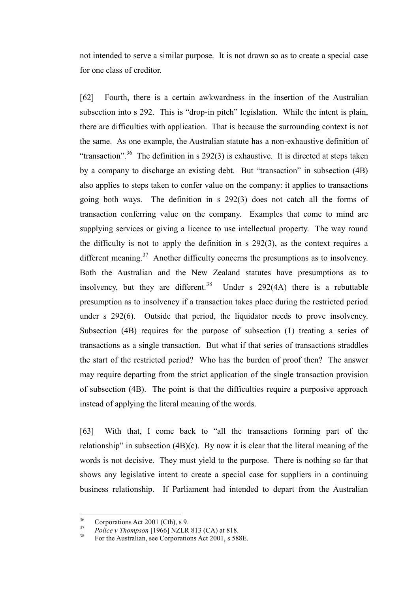not intended to serve a similar purpose. It is not drawn so as to create a special case for one class of creditor.

[62] Fourth, there is a certain awkwardness in the insertion of the Australian subsection into s 292. This is "drop-in pitch" legislation. While the intent is plain, there are difficulties with application. That is because the surrounding context is not the same. As one example, the Australian statute has a non-exhaustive definition of "transaction".<sup>36</sup> The definition in s 292(3) is exhaustive. It is directed at steps taken by a company to discharge an existing debt. But "transaction" in subsection (4B) also applies to steps taken to confer value on the company: it applies to transactions going both ways. The definition in s 292(3) does not catch all the forms of transaction conferring value on the company. Examples that come to mind are supplying services or giving a licence to use intellectual property. The way round the difficulty is not to apply the definition in s 292(3), as the context requires a different meaning.<sup>37</sup> Another difficulty concerns the presumptions as to insolvency. Both the Australian and the New Zealand statutes have presumptions as to insolvency, but they are different.<sup>38</sup> Under s  $292(4A)$  there is a rebuttable presumption as to insolvency if a transaction takes place during the restricted period under s 292(6). Outside that period, the liquidator needs to prove insolvency. Subsection (4B) requires for the purpose of subsection (1) treating a series of transactions as a single transaction. But what if that series of transactions straddles the start of the restricted period? Who has the burden of proof then? The answer may require departing from the strict application of the single transaction provision of subsection (4B). The point is that the difficulties require a purposive approach instead of applying the literal meaning of the words.

[63] With that, I come back to "all the transactions forming part of the relationship" in subsection  $(4B)(c)$ . By now it is clear that the literal meaning of the words is not decisive. They must yield to the purpose. There is nothing so far that shows any legislative intent to create a special case for suppliers in a continuing business relationship. If Parliament had intended to depart from the Australian

<sup>36</sup>  $\frac{36}{37}$  Corporations Act 2001 (Cth), s 9.

<sup>&</sup>lt;sup>37</sup> *Police v Thompson* [1966] NZLR 813 (CA) at 818.

<sup>38</sup> For the Australian, see Corporations Act 2001, s 588E.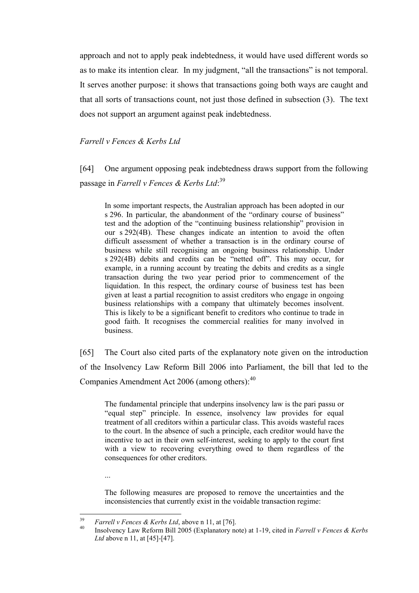approach and not to apply peak indebtedness, it would have used different words so as to make its intention clear. In my judgment, "all the transactions" is not temporal. It serves another purpose: it shows that transactions going both ways are caught and that all sorts of transactions count, not just those defined in subsection (3). The text does not support an argument against peak indebtedness.

### *Farrell v Fences & Kerbs Ltd*

[64] One argument opposing peak indebtedness draws support from the following passage in *Farrell v Fences & Kerbs Ltd*: 39

In some important respects, the Australian approach has been adopted in our s 296. In particular, the abandonment of the "ordinary course of business" test and the adoption of the "continuing business relationship" provision in our s 292(4B). These changes indicate an intention to avoid the often difficult assessment of whether a transaction is in the ordinary course of business while still recognising an ongoing business relationship. Under s 292(4B) debits and credits can be "netted off". This may occur, for example, in a running account by treating the debits and credits as a single transaction during the two year period prior to commencement of the liquidation. In this respect, the ordinary course of business test has been given at least a partial recognition to assist creditors who engage in ongoing business relationships with a company that ultimately becomes insolvent. This is likely to be a significant benefit to creditors who continue to trade in good faith. It recognises the commercial realities for many involved in business.

[65] The Court also cited parts of the explanatory note given on the introduction of the Insolvency Law Reform Bill 2006 into Parliament, the bill that led to the Companies Amendment Act 2006 (among others):<sup>40</sup>

The fundamental principle that underpins insolvency law is the pari passu or "equal step" principle. In essence, insolvency law provides for equal treatment of all creditors within a particular class. This avoids wasteful races to the court. In the absence of such a principle, each creditor would have the incentive to act in their own self-interest, seeking to apply to the court first with a view to recovering everything owed to them regardless of the consequences for other creditors.

...

The following measures are proposed to remove the uncertainties and the inconsistencies that currently exist in the voidable transaction regime:

<sup>39</sup> <sup>39</sup> *Farrell v Fences & Kerbs Ltd*, above n 11, at [76].

<sup>40</sup> Insolvency Law Reform Bill 2005 (Explanatory note) at 1-19, cited in *Farrell v Fences & Kerbs Ltd* above n 11, at [45]-[47].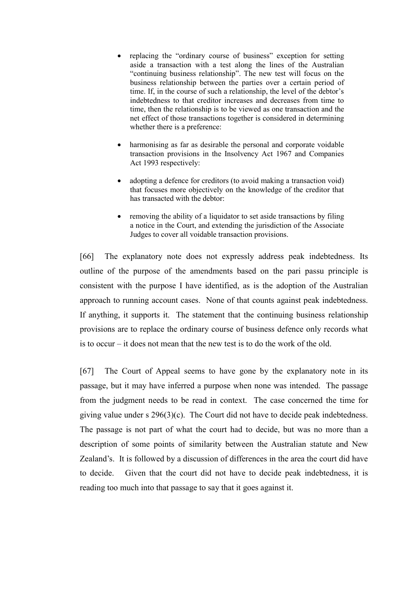- replacing the "ordinary course of business" exception for setting aside a transaction with a test along the lines of the Australian "continuing business relationship". The new test will focus on the business relationship between the parties over a certain period of time. If, in the course of such a relationship, the level of the debtor's indebtedness to that creditor increases and decreases from time to time, then the relationship is to be viewed as one transaction and the net effect of those transactions together is considered in determining whether there is a preference:
- harmonising as far as desirable the personal and corporate voidable transaction provisions in the Insolvency Act 1967 and Companies Act 1993 respectively:
- adopting a defence for creditors (to avoid making a transaction void) that focuses more objectively on the knowledge of the creditor that has transacted with the debtor:
- removing the ability of a liquidator to set aside transactions by filing a notice in the Court, and extending the jurisdiction of the Associate Judges to cover all voidable transaction provisions.

[66] The explanatory note does not expressly address peak indebtedness. Its outline of the purpose of the amendments based on the pari passu principle is consistent with the purpose I have identified, as is the adoption of the Australian approach to running account cases. None of that counts against peak indebtedness. If anything, it supports it. The statement that the continuing business relationship provisions are to replace the ordinary course of business defence only records what is to occur – it does not mean that the new test is to do the work of the old.

[67] The Court of Appeal seems to have gone by the explanatory note in its passage, but it may have inferred a purpose when none was intended. The passage from the judgment needs to be read in context. The case concerned the time for giving value under s 296(3)(c). The Court did not have to decide peak indebtedness. The passage is not part of what the court had to decide, but was no more than a description of some points of similarity between the Australian statute and New Zealand's. It is followed by a discussion of differences in the area the court did have to decide. Given that the court did not have to decide peak indebtedness, it is reading too much into that passage to say that it goes against it.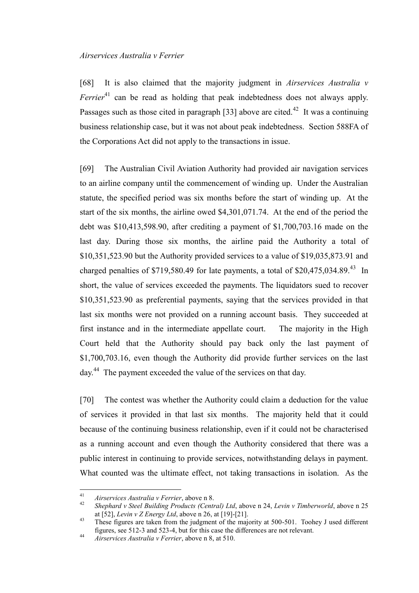#### *Airservices Australia v Ferrier*

[68] It is also claimed that the majority judgment in *Airservices Australia v Ferrier*<sup>41</sup> can be read as holding that peak indebtedness does not always apply. Passages such as those cited in paragraph [33] above are cited.<sup>42</sup> It was a continuing business relationship case, but it was not about peak indebtedness. Section 588FA of the Corporations Act did not apply to the transactions in issue.

[69] The Australian Civil Aviation Authority had provided air navigation services to an airline company until the commencement of winding up. Under the Australian statute, the specified period was six months before the start of winding up. At the start of the six months, the airline owed \$4,301,071.74. At the end of the period the debt was \$10,413,598.90, after crediting a payment of \$1,700,703.16 made on the last day. During those six months, the airline paid the Authority a total of \$10,351,523.90 but the Authority provided services to a value of \$19,035,873.91 and charged penalties of \$719,580.49 for late payments, a total of \$20,475,034.89.<sup>43</sup> In short, the value of services exceeded the payments. The liquidators sued to recover \$10,351,523.90 as preferential payments, saying that the services provided in that last six months were not provided on a running account basis. They succeeded at first instance and in the intermediate appellate court. The majority in the High Court held that the Authority should pay back only the last payment of \$1,700,703.16, even though the Authority did provide further services on the last day.<sup>44</sup> The payment exceeded the value of the services on that day.

[70] The contest was whether the Authority could claim a deduction for the value of services it provided in that last six months. The majority held that it could because of the continuing business relationship, even if it could not be characterised as a running account and even though the Authority considered that there was a public interest in continuing to provide services, notwithstanding delays in payment. What counted was the ultimate effect, not taking transactions in isolation. As the

 $41$ <sup>41</sup> *Airservices Australia v Ferrier*, above n 8.

<sup>42</sup> *Shephard v Steel Building Products (Central) Ltd*, above n 24, *Levin v Timberworld*, above n 25 at [52], *Levin v Z Energy Ltd*, above n 26, at [19]-[21].

<sup>&</sup>lt;sup>43</sup> These figures are taken from the judgment of the majority at 500-501. Toohey J used different figures, see 512-3 and 523-4, but for this case the differences are not relevant.

<sup>44</sup> *Airservices Australia v Ferrier*, above n 8, at 510.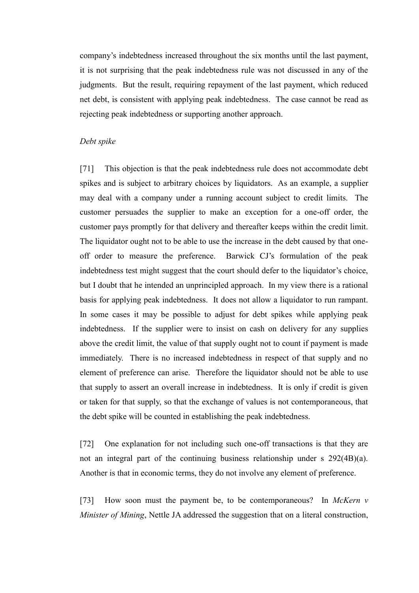company's indebtedness increased throughout the six months until the last payment, it is not surprising that the peak indebtedness rule was not discussed in any of the judgments. But the result, requiring repayment of the last payment, which reduced net debt, is consistent with applying peak indebtedness. The case cannot be read as rejecting peak indebtedness or supporting another approach.

### *Debt spike*

[71] This objection is that the peak indebtedness rule does not accommodate debt spikes and is subject to arbitrary choices by liquidators. As an example, a supplier may deal with a company under a running account subject to credit limits. The customer persuades the supplier to make an exception for a one-off order, the customer pays promptly for that delivery and thereafter keeps within the credit limit. The liquidator ought not to be able to use the increase in the debt caused by that oneoff order to measure the preference. Barwick CJ's formulation of the peak indebtedness test might suggest that the court should defer to the liquidator's choice, but I doubt that he intended an unprincipled approach. In my view there is a rational basis for applying peak indebtedness. It does not allow a liquidator to run rampant. In some cases it may be possible to adjust for debt spikes while applying peak indebtedness. If the supplier were to insist on cash on delivery for any supplies above the credit limit, the value of that supply ought not to count if payment is made immediately. There is no increased indebtedness in respect of that supply and no element of preference can arise. Therefore the liquidator should not be able to use that supply to assert an overall increase in indebtedness. It is only if credit is given or taken for that supply, so that the exchange of values is not contemporaneous, that the debt spike will be counted in establishing the peak indebtedness.

[72] One explanation for not including such one-off transactions is that they are not an integral part of the continuing business relationship under s 292(4B)(a). Another is that in economic terms, they do not involve any element of preference.

[73] How soon must the payment be, to be contemporaneous? In *McKern v Minister of Mining*, Nettle JA addressed the suggestion that on a literal construction,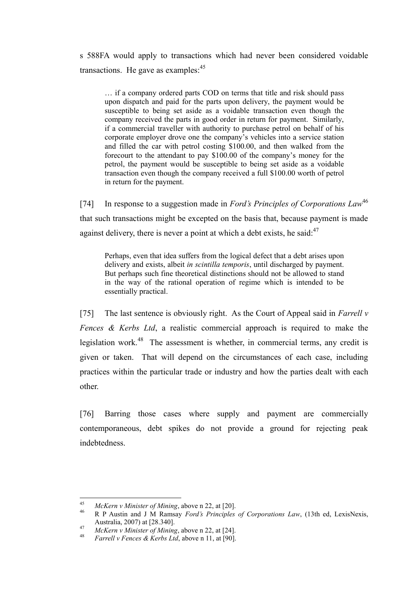s 588FA would apply to transactions which had never been considered voidable transactions. He gave as examples: $45$ 

… if a company ordered parts COD on terms that title and risk should pass upon dispatch and paid for the parts upon delivery, the payment would be susceptible to being set aside as a voidable transaction even though the company received the parts in good order in return for payment. Similarly, if a commercial traveller with authority to purchase petrol on behalf of his corporate employer drove one the company's vehicles into a service station and filled the car with petrol costing \$100.00, and then walked from the forecourt to the attendant to pay \$100.00 of the company's money for the petrol, the payment would be susceptible to being set aside as a voidable transaction even though the company received a full \$100.00 worth of petrol in return for the payment.

[74] In response to a suggestion made in *Ford's Principles of Corporations Law*<sup>46</sup> that such transactions might be excepted on the basis that, because payment is made against delivery, there is never a point at which a debt exists, he said: $47$ 

Perhaps, even that idea suffers from the logical defect that a debt arises upon delivery and exists, albeit *in scintilla temporis*, until discharged by payment. But perhaps such fine theoretical distinctions should not be allowed to stand in the way of the rational operation of regime which is intended to be essentially practical.

[75] The last sentence is obviously right. As the Court of Appeal said in *Farrell v Fences & Kerbs Ltd*, a realistic commercial approach is required to make the legislation work.<sup>48</sup> The assessment is whether, in commercial terms, any credit is given or taken. That will depend on the circumstances of each case, including practices within the particular trade or industry and how the parties dealt with each other.

[76] Barring those cases where supply and payment are commercially contemporaneous, debt spikes do not provide a ground for rejecting peak indebtedness.

 $45$ <sup>45</sup> *McKern v Minister of Mining*, above n 22, at [20].

<sup>46</sup> R P Austin and J M Ramsay *Ford's Principles of Corporations Law*, (13th ed, LexisNexis, Australia, 2007) at [28.340].

<sup>47</sup> *McKern v Minister of Mining*, above n 22, at [24].<br><sup>48</sup> *Cauglly Emage 8 Koule 1 td*, above n 11, at [00].

<sup>48</sup> *Farrell v Fences & Kerbs Ltd*, above n 11, at [90].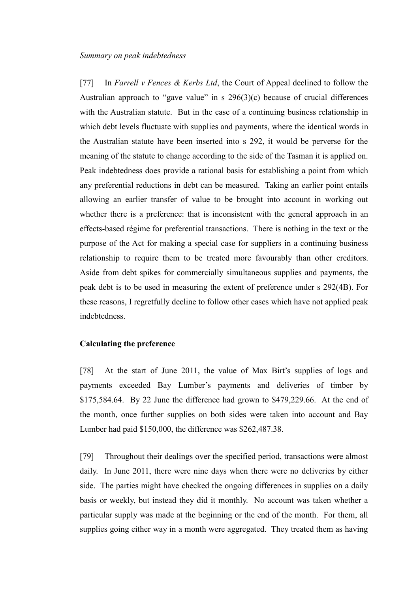[77] In *Farrell v Fences & Kerbs Ltd*, the Court of Appeal declined to follow the Australian approach to "gave value" in s 296(3)(c) because of crucial differences with the Australian statute. But in the case of a continuing business relationship in which debt levels fluctuate with supplies and payments, where the identical words in the Australian statute have been inserted into s 292, it would be perverse for the meaning of the statute to change according to the side of the Tasman it is applied on. Peak indebtedness does provide a rational basis for establishing a point from which any preferential reductions in debt can be measured. Taking an earlier point entails allowing an earlier transfer of value to be brought into account in working out whether there is a preference: that is inconsistent with the general approach in an effects-based régime for preferential transactions. There is nothing in the text or the purpose of the Act for making a special case for suppliers in a continuing business relationship to require them to be treated more favourably than other creditors. Aside from debt spikes for commercially simultaneous supplies and payments, the peak debt is to be used in measuring the extent of preference under s 292(4B). For these reasons, I regretfully decline to follow other cases which have not applied peak indebtedness.

### **Calculating the preference**

[78] At the start of June 2011, the value of Max Birt's supplies of logs and payments exceeded Bay Lumber's payments and deliveries of timber by \$175,584.64. By 22 June the difference had grown to \$479,229.66. At the end of the month, once further supplies on both sides were taken into account and Bay Lumber had paid \$150,000, the difference was \$262,487.38.

[79] Throughout their dealings over the specified period, transactions were almost daily. In June 2011, there were nine days when there were no deliveries by either side. The parties might have checked the ongoing differences in supplies on a daily basis or weekly, but instead they did it monthly. No account was taken whether a particular supply was made at the beginning or the end of the month. For them, all supplies going either way in a month were aggregated. They treated them as having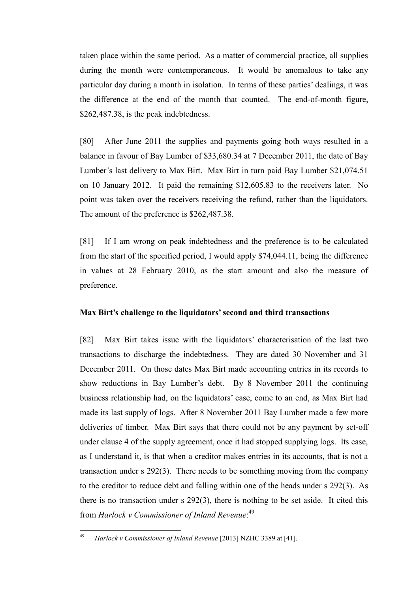taken place within the same period. As a matter of commercial practice, all supplies during the month were contemporaneous. It would be anomalous to take any particular day during a month in isolation. In terms of these parties' dealings, it was the difference at the end of the month that counted. The end-of-month figure, \$262,487.38, is the peak indebtedness.

[80] After June 2011 the supplies and payments going both ways resulted in a balance in favour of Bay Lumber of \$33,680.34 at 7 December 2011, the date of Bay Lumber's last delivery to Max Birt. Max Birt in turn paid Bay Lumber \$21,074.51 on 10 January 2012. It paid the remaining \$12,605.83 to the receivers later. No point was taken over the receivers receiving the refund, rather than the liquidators. The amount of the preference is \$262,487.38.

[81] If I am wrong on peak indebtedness and the preference is to be calculated from the start of the specified period, I would apply \$74,044.11, being the difference in values at 28 February 2010, as the start amount and also the measure of preference.

#### **Max Birt's challenge to the liquidators' second and third transactions**

[82] Max Birt takes issue with the liquidators' characterisation of the last two transactions to discharge the indebtedness. They are dated 30 November and 31 December 2011. On those dates Max Birt made accounting entries in its records to show reductions in Bay Lumber's debt. By 8 November 2011 the continuing business relationship had, on the liquidators' case, come to an end, as Max Birt had made its last supply of logs. After 8 November 2011 Bay Lumber made a few more deliveries of timber. Max Birt says that there could not be any payment by set-off under clause 4 of the supply agreement, once it had stopped supplying logs. Its case, as I understand it, is that when a creditor makes entries in its accounts, that is not a transaction under s 292(3). There needs to be something moving from the company to the creditor to reduce debt and falling within one of the heads under s 292(3). As there is no transaction under s 292(3), there is nothing to be set aside. It cited this from *Harlock v Commissioner of Inland Revenue*: 49

<sup>49</sup> <sup>49</sup> *Harlock v Commissioner of Inland Revenue* [2013] NZHC 3389 at [41].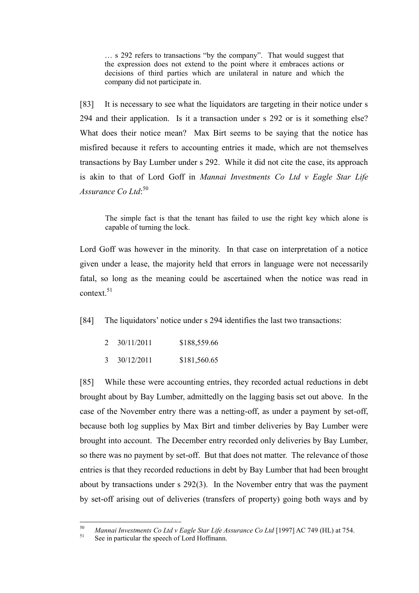… s 292 refers to transactions "by the company". That would suggest that the expression does not extend to the point where it embraces actions or decisions of third parties which are unilateral in nature and which the company did not participate in.

[83] It is necessary to see what the liquidators are targeting in their notice under s 294 and their application. Is it a transaction under s 292 or is it something else? What does their notice mean? Max Birt seems to be saying that the notice has misfired because it refers to accounting entries it made, which are not themselves transactions by Bay Lumber under s 292. While it did not cite the case, its approach is akin to that of Lord Goff in *Mannai Investments Co Ltd v Eagle Star Life*  Assurance Co Ltd:<sup>50</sup>

The simple fact is that the tenant has failed to use the right key which alone is capable of turning the lock.

Lord Goff was however in the minority. In that case on interpretation of a notice given under a lease, the majority held that errors in language were not necessarily fatal, so long as the meaning could be ascertained when the notice was read in context. $51$ 

[84] The liquidators' notice under s 294 identifies the last two transactions:

| 2 | 30/11/2011 | \$188,559.66 |
|---|------------|--------------|
| 3 | 30/12/2011 | \$181,560.65 |

[85] While these were accounting entries, they recorded actual reductions in debt brought about by Bay Lumber, admittedly on the lagging basis set out above. In the case of the November entry there was a netting-off, as under a payment by set-off, because both log supplies by Max Birt and timber deliveries by Bay Lumber were brought into account. The December entry recorded only deliveries by Bay Lumber, so there was no payment by set-off. But that does not matter. The relevance of those entries is that they recorded reductions in debt by Bay Lumber that had been brought about by transactions under s 292(3). In the November entry that was the payment by set-off arising out of deliveries (transfers of property) going both ways and by

<sup>50</sup> <sup>50</sup> *Mannai Investments Co Ltd v Eagle Star Life Assurance Co Ltd* [1997] AC 749 (HL) at 754.

See in particular the speech of Lord Hoffmann.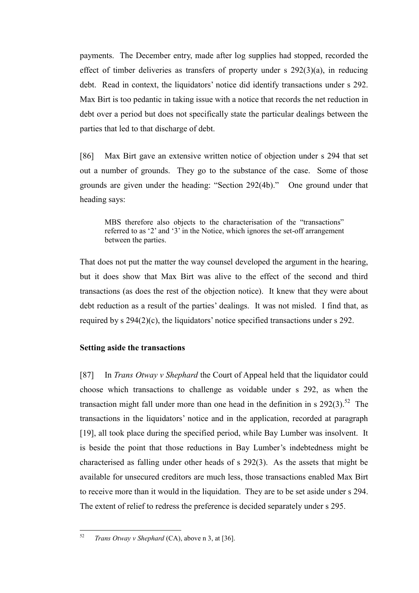payments. The December entry, made after log supplies had stopped, recorded the effect of timber deliveries as transfers of property under s 292(3)(a), in reducing debt. Read in context, the liquidators' notice did identify transactions under s 292. Max Birt is too pedantic in taking issue with a notice that records the net reduction in debt over a period but does not specifically state the particular dealings between the parties that led to that discharge of debt.

[86] Max Birt gave an extensive written notice of objection under s 294 that set out a number of grounds. They go to the substance of the case. Some of those grounds are given under the heading: "Section 292(4b)." One ground under that heading says:

MBS therefore also objects to the characterisation of the "transactions" referred to as '2' and '3' in the Notice, which ignores the set-off arrangement between the parties.

That does not put the matter the way counsel developed the argument in the hearing, but it does show that Max Birt was alive to the effect of the second and third transactions (as does the rest of the objection notice). It knew that they were about debt reduction as a result of the parties' dealings. It was not misled. I find that, as required by s 294(2)(c), the liquidators' notice specified transactions under s 292.

#### **Setting aside the transactions**

[87] In *Trans Otway v Shephard* the Court of Appeal held that the liquidator could choose which transactions to challenge as voidable under s 292, as when the transaction might fall under more than one head in the definition in s  $292(3)$ .<sup>52</sup> The transactions in the liquidators' notice and in the application, recorded at paragraph [19], all took place during the specified period, while Bay Lumber was insolvent. It is beside the point that those reductions in Bay Lumber's indebtedness might be characterised as falling under other heads of s 292(3). As the assets that might be available for unsecured creditors are much less, those transactions enabled Max Birt to receive more than it would in the liquidation. They are to be set aside under s 294. The extent of relief to redress the preference is decided separately under s 295.

<sup>52</sup> <sup>52</sup> *Trans Otway v Shephard* (CA), above n 3, at [36].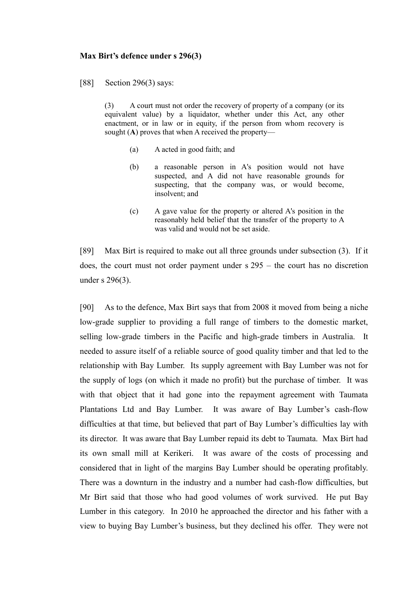#### **Max Birt's defence under s 296(3)**

[88] Section 296(3) says:

(3) A court must not order the recovery of property of a company (or its equivalent value) by a liquidator, whether under this Act, any other enactment, or in law or in equity, if the person from whom recovery is sought (**A**) proves that when A received the property—

- (a) A acted in good faith; and
- (b) a reasonable person in A's position would not have suspected, and A did not have reasonable grounds for suspecting, that the company was, or would become, insolvent; and
- (c) A gave value for the property or altered A's position in the reasonably held belief that the transfer of the property to A was valid and would not be set aside.

[89] Max Birt is required to make out all three grounds under subsection (3). If it does, the court must not order payment under s 295 – the court has no discretion under s 296(3).

[90] As to the defence, Max Birt says that from 2008 it moved from being a niche low-grade supplier to providing a full range of timbers to the domestic market, selling low-grade timbers in the Pacific and high-grade timbers in Australia. It needed to assure itself of a reliable source of good quality timber and that led to the relationship with Bay Lumber. Its supply agreement with Bay Lumber was not for the supply of logs (on which it made no profit) but the purchase of timber. It was with that object that it had gone into the repayment agreement with Taumata Plantations Ltd and Bay Lumber. It was aware of Bay Lumber's cash-flow difficulties at that time, but believed that part of Bay Lumber's difficulties lay with its director. It was aware that Bay Lumber repaid its debt to Taumata. Max Birt had its own small mill at Kerikeri. It was aware of the costs of processing and considered that in light of the margins Bay Lumber should be operating profitably. There was a downturn in the industry and a number had cash-flow difficulties, but Mr Birt said that those who had good volumes of work survived. He put Bay Lumber in this category. In 2010 he approached the director and his father with a view to buying Bay Lumber's business, but they declined his offer. They were not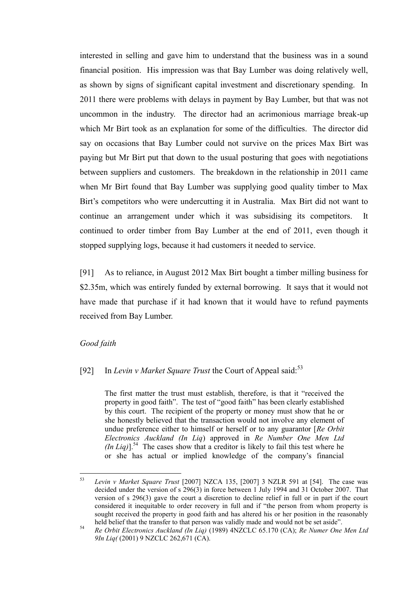interested in selling and gave him to understand that the business was in a sound financial position. His impression was that Bay Lumber was doing relatively well, as shown by signs of significant capital investment and discretionary spending. In 2011 there were problems with delays in payment by Bay Lumber, but that was not uncommon in the industry. The director had an acrimonious marriage break-up which Mr Birt took as an explanation for some of the difficulties. The director did say on occasions that Bay Lumber could not survive on the prices Max Birt was paying but Mr Birt put that down to the usual posturing that goes with negotiations between suppliers and customers. The breakdown in the relationship in 2011 came when Mr Birt found that Bay Lumber was supplying good quality timber to Max Birt's competitors who were undercutting it in Australia. Max Birt did not want to continue an arrangement under which it was subsidising its competitors. It continued to order timber from Bay Lumber at the end of 2011, even though it stopped supplying logs, because it had customers it needed to service.

[91] As to reliance, in August 2012 Max Birt bought a timber milling business for \$2.35m, which was entirely funded by external borrowing. It says that it would not have made that purchase if it had known that it would have to refund payments received from Bay Lumber.

#### *Good faith*

### [92] In *Levin v Market Square Trust* the Court of Appeal said:<sup>53</sup>

The first matter the trust must establish, therefore, is that it "received the property in good faith". The test of "good faith" has been clearly established by this court. The recipient of the property or money must show that he or she honestly believed that the transaction would not involve any element of undue preference either to himself or herself or to any guarantor [*Re Orbit Electronics Auckland (In Liq*) approved in *Re Number One Men Ltd*   $(In$  *Liq* $)$ ].<sup>54</sup> The cases show that a creditor is likely to fail this test where he or she has actual or implied knowledge of the company's financial

<sup>53</sup> <sup>53</sup> *Levin v Market Square Trust* [2007] NZCA 135, [2007] 3 NZLR 591 at [54]. The case was decided under the version of s 296(3) in force between 1 July 1994 and 31 October 2007. That version of s 296(3) gave the court a discretion to decline relief in full or in part if the court considered it inequitable to order recovery in full and if "the person from whom property is sought received the property in good faith and has altered his or her position in the reasonably held belief that the transfer to that person was validly made and would not be set aside".

<sup>54</sup> *Re Orbit Electronics Auckland (In Liq)* (1989) 4NZCLC 65.170 (CA); *Re Numer One Men Ltd 9In Liq(* (2001) 9 NZCLC 262,671 (CA).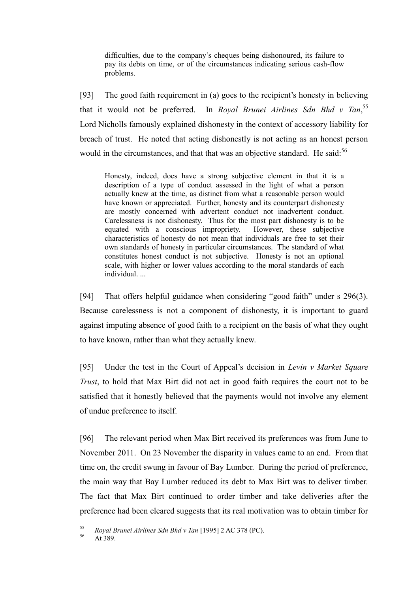difficulties, due to the company's cheques being dishonoured, its failure to pay its debts on time, or of the circumstances indicating serious cash-flow problems.

[93] The good faith requirement in (a) goes to the recipient's honesty in believing that it would not be preferred. In *Royal Brunei Airlines Sdn Bhd v Tan*,<sup>55</sup> Lord Nicholls famously explained dishonesty in the context of accessory liability for breach of trust. He noted that acting dishonestly is not acting as an honest person would in the circumstances, and that that was an objective standard. He said:<sup>56</sup>

Honesty, indeed, does have a strong subjective element in that it is a description of a type of conduct assessed in the light of what a person actually knew at the time, as distinct from what a reasonable person would have known or appreciated. Further, honesty and its counterpart dishonesty are mostly concerned with advertent conduct not inadvertent conduct. Carelessness is not dishonesty. Thus for the most part dishonesty is to be equated with a conscious impropriety. However, these subjective characteristics of honesty do not mean that individuals are free to set their own standards of honesty in particular circumstances. The standard of what constitutes honest conduct is not subjective. Honesty is not an optional scale, with higher or lower values according to the moral standards of each individual. ...

[94] That offers helpful guidance when considering "good faith" under s 296(3). Because carelessness is not a component of dishonesty, it is important to guard against imputing absence of good faith to a recipient on the basis of what they ought to have known, rather than what they actually knew.

[95] Under the test in the Court of Appeal's decision in *Levin v Market Square Trust*, to hold that Max Birt did not act in good faith requires the court not to be satisfied that it honestly believed that the payments would not involve any element of undue preference to itself.

[96] The relevant period when Max Birt received its preferences was from June to November 2011. On 23 November the disparity in values came to an end. From that time on, the credit swung in favour of Bay Lumber. During the period of preference, the main way that Bay Lumber reduced its debt to Max Birt was to deliver timber. The fact that Max Birt continued to order timber and take deliveries after the preference had been cleared suggests that its real motivation was to obtain timber for

<sup>55</sup> <sup>55</sup> *Royal Brunei Airlines Sdn Bhd v Tan* [1995] 2 AC 378 (PC).

At 389.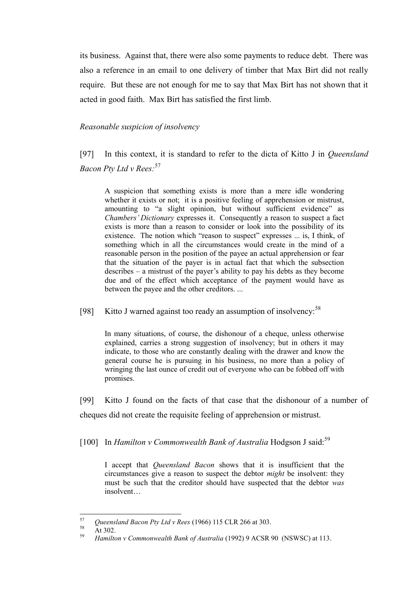its business. Against that, there were also some payments to reduce debt. There was also a reference in an email to one delivery of timber that Max Birt did not really require. But these are not enough for me to say that Max Birt has not shown that it acted in good faith. Max Birt has satisfied the first limb.

#### *Reasonable suspicion of insolvency*

[97] In this context, it is standard to refer to the dicta of Kitto J in *Queensland Bacon Pty Ltd v Rees:*<sup>57</sup>

A suspicion that something exists is more than a mere idle wondering whether it exists or not; it is a positive feeling of apprehension or mistrust, amounting to "a slight opinion, but without sufficient evidence" as *Chambers' Dictionary* expresses it. Consequently a reason to suspect a fact exists is more than a reason to consider or look into the possibility of its existence. The notion which "reason to suspect" expresses ... is, I think, of something which in all the circumstances would create in the mind of a reasonable person in the position of the payee an actual apprehension or fear that the situation of the payer is in actual fact that which the subsection describes – a mistrust of the payer's ability to pay his debts as they become due and of the effect which acceptance of the payment would have as between the payee and the other creditors. ...

[98] Kitto J warned against too ready an assumption of insolvency:  $58$ 

In many situations, of course, the dishonour of a cheque, unless otherwise explained, carries a strong suggestion of insolvency; but in others it may indicate, to those who are constantly dealing with the drawer and know the general course he is pursuing in his business, no more than a policy of wringing the last ounce of credit out of everyone who can be fobbed off with promises.

[99] Kitto J found on the facts of that case that the dishonour of a number of cheques did not create the requisite feeling of apprehension or mistrust.

[100] In *Hamilton v Commonwealth Bank of Australia* Hodgson J said:<sup>59</sup>

I accept that *Queensland Bacon* shows that it is insufficient that the circumstances give a reason to suspect the debtor *might* be insolvent: they must be such that the creditor should have suspected that the debtor *was* insolvent…

 $58$  At 302.

<sup>57</sup> <sup>57</sup> *Queensland Bacon Pty Ltd v Rees* (1966) 115 CLR 266 at 303.

<sup>59</sup> *Hamilton v Commonwealth Bank of Australia* (1992) 9 ACSR 90 (NSWSC) at 113.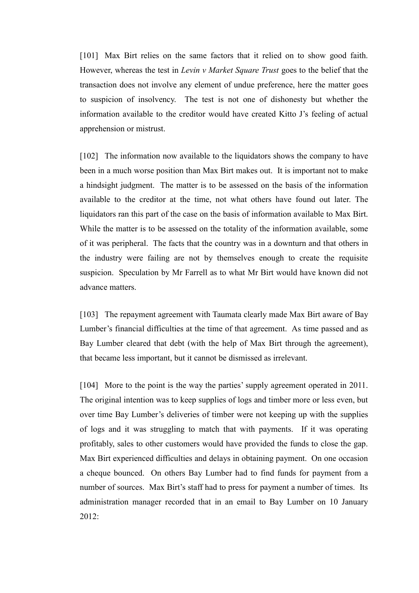[101] Max Birt relies on the same factors that it relied on to show good faith. However, whereas the test in *Levin v Market Square Trust* goes to the belief that the transaction does not involve any element of undue preference, here the matter goes to suspicion of insolvency. The test is not one of dishonesty but whether the information available to the creditor would have created Kitto J's feeling of actual apprehension or mistrust.

[102] The information now available to the liquidators shows the company to have been in a much worse position than Max Birt makes out. It is important not to make a hindsight judgment. The matter is to be assessed on the basis of the information available to the creditor at the time, not what others have found out later. The liquidators ran this part of the case on the basis of information available to Max Birt. While the matter is to be assessed on the totality of the information available, some of it was peripheral. The facts that the country was in a downturn and that others in the industry were failing are not by themselves enough to create the requisite suspicion. Speculation by Mr Farrell as to what Mr Birt would have known did not advance matters.

[103] The repayment agreement with Taumata clearly made Max Birt aware of Bay Lumber's financial difficulties at the time of that agreement. As time passed and as Bay Lumber cleared that debt (with the help of Max Birt through the agreement), that became less important, but it cannot be dismissed as irrelevant.

[104] More to the point is the way the parties' supply agreement operated in 2011. The original intention was to keep supplies of logs and timber more or less even, but over time Bay Lumber's deliveries of timber were not keeping up with the supplies of logs and it was struggling to match that with payments. If it was operating profitably, sales to other customers would have provided the funds to close the gap. Max Birt experienced difficulties and delays in obtaining payment. On one occasion a cheque bounced. On others Bay Lumber had to find funds for payment from a number of sources. Max Birt's staff had to press for payment a number of times. Its administration manager recorded that in an email to Bay Lumber on 10 January 2012: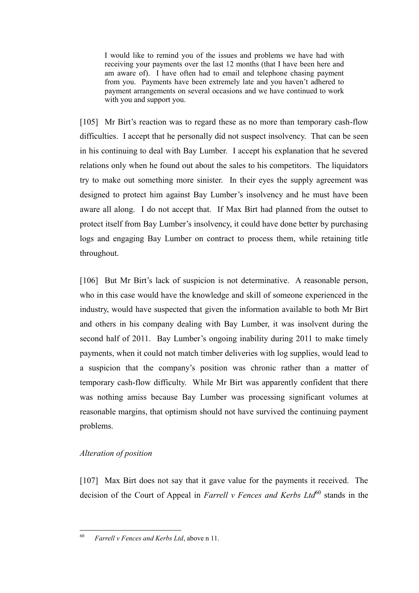I would like to remind you of the issues and problems we have had with receiving your payments over the last 12 months (that I have been here and am aware of). I have often had to email and telephone chasing payment from you. Payments have been extremely late and you haven't adhered to payment arrangements on several occasions and we have continued to work with you and support you.

[105] Mr Birt's reaction was to regard these as no more than temporary cash-flow difficulties. I accept that he personally did not suspect insolvency. That can be seen in his continuing to deal with Bay Lumber. I accept his explanation that he severed relations only when he found out about the sales to his competitors. The liquidators try to make out something more sinister. In their eyes the supply agreement was designed to protect him against Bay Lumber's insolvency and he must have been aware all along. I do not accept that. If Max Birt had planned from the outset to protect itself from Bay Lumber's insolvency, it could have done better by purchasing logs and engaging Bay Lumber on contract to process them, while retaining title throughout.

[106] But Mr Birt's lack of suspicion is not determinative. A reasonable person, who in this case would have the knowledge and skill of someone experienced in the industry, would have suspected that given the information available to both Mr Birt and others in his company dealing with Bay Lumber, it was insolvent during the second half of 2011. Bay Lumber's ongoing inability during 2011 to make timely payments, when it could not match timber deliveries with log supplies, would lead to a suspicion that the company's position was chronic rather than a matter of temporary cash-flow difficulty. While Mr Birt was apparently confident that there was nothing amiss because Bay Lumber was processing significant volumes at reasonable margins, that optimism should not have survived the continuing payment problems.

## *Alteration of position*

[107] Max Birt does not say that it gave value for the payments it received. The decision of the Court of Appeal in *Farrell v Fences and Kerbs Ltd*<sup>60</sup> stands in the

<sup>60</sup> <sup>60</sup> *Farrell v Fences and Kerbs Ltd*, above n 11.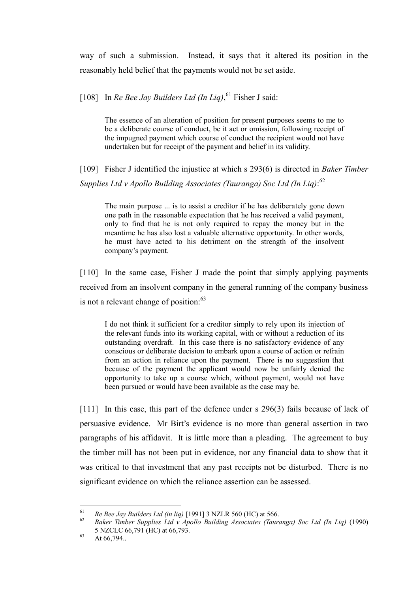way of such a submission. Instead, it says that it altered its position in the reasonably held belief that the payments would not be set aside.

[108] In *Re Bee Jay Builders Ltd (In Liq)*, <sup>61</sup> Fisher J said:

The essence of an alteration of position for present purposes seems to me to be a deliberate course of conduct, be it act or omission, following receipt of the impugned payment which course of conduct the recipient would not have undertaken but for receipt of the payment and belief in its validity.

[109] Fisher J identified the injustice at which s 293(6) is directed in *Baker Timber Supplies Ltd v Apollo Building Associates (Tauranga) Soc Ltd (In Liq)*: 62

The main purpose ... is to assist a creditor if he has deliberately gone down one path in the reasonable expectation that he has received a valid payment, only to find that he is not only required to repay the money but in the meantime he has also lost a valuable alternative opportunity. In other words, he must have acted to his detriment on the strength of the insolvent company's payment.

[110] In the same case, Fisher J made the point that simply applying payments received from an insolvent company in the general running of the company business is not a relevant change of position:<sup>63</sup>

I do not think it sufficient for a creditor simply to rely upon its injection of the relevant funds into its working capital, with or without a reduction of its outstanding overdraft. In this case there is no satisfactory evidence of any conscious or deliberate decision to embark upon a course of action or refrain from an action in reliance upon the payment. There is no suggestion that because of the payment the applicant would now be unfairly denied the opportunity to take up a course which, without payment, would not have been pursued or would have been available as the case may be.

[111] In this case, this part of the defence under s 296(3) fails because of lack of persuasive evidence. Mr Birt's evidence is no more than general assertion in two paragraphs of his affidavit. It is little more than a pleading. The agreement to buy the timber mill has not been put in evidence, nor any financial data to show that it was critical to that investment that any past receipts not be disturbed. There is no significant evidence on which the reliance assertion can be assessed.

<sup>61</sup> <sup>61</sup> *Re Bee Jay Builders Ltd (in liq)*  $[1991]$  3 NZLR 560 (HC) at 566.<br><sup>62</sup> *Relief Timber Supplies Ltd y Apollo Building Associates (Trum*)

<sup>62</sup> *Baker Timber Supplies Ltd v Apollo Building Associates (Tauranga) Soc Ltd (In Liq)* (1990) 5 NZCLC 66,791 (HC) at 66,793.

 $^{63}$  At 66,794..